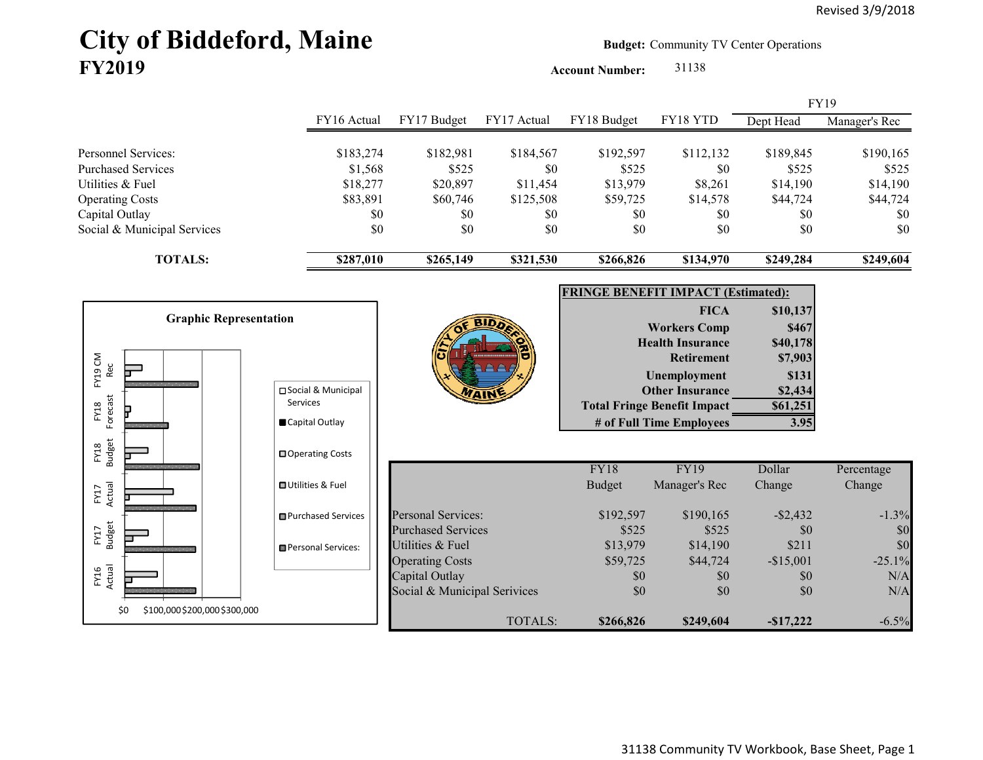# City of Biddeford, Maine **Budget:** Community TV Center Operations **FY2019**

**Account Number:** 31138

|                                                                      |                                  |                                               |                              |                                           |                                                                |                                | <b>FY19</b>                    |
|----------------------------------------------------------------------|----------------------------------|-----------------------------------------------|------------------------------|-------------------------------------------|----------------------------------------------------------------|--------------------------------|--------------------------------|
|                                                                      | FY16 Actual                      | FY17 Budget                                   | FY17 Actual                  | FY18 Budget                               | FY18 YTD                                                       | Dept Head                      | Manager's Rec                  |
| Personnel Services:<br><b>Purchased Services</b><br>Utilities & Fuel | \$183,274<br>\$1,568<br>\$18,277 | \$182,981<br>\$525<br>\$20,897                | \$184,567<br>\$0<br>\$11,454 | \$192,597<br>\$525<br>\$13,979            | \$112,132<br>\$0<br>\$8,261                                    | \$189,845<br>\$525<br>\$14,190 | \$190,165<br>\$525<br>\$14,190 |
| <b>Operating Costs</b>                                               | \$83,891                         | \$60,746                                      | \$125,508                    | \$59,725                                  | \$14,578                                                       | \$44,724                       | \$44,724                       |
| Capital Outlay<br>Social & Municipal Services                        | \$0<br>\$0                       | \$0<br>\$0                                    | \$0<br>\$0                   | \$0<br>\$0                                | \$0<br>\$0                                                     | \$0<br>\$0                     | \$0<br>\$0                     |
| <b>TOTALS:</b>                                                       | \$287,010                        | \$265,149                                     | \$321,530                    | \$266,826                                 | \$134,970                                                      | \$249,284                      | \$249,604                      |
|                                                                      |                                  |                                               |                              | <b>FRINGE BENEFIT IMPACT (Estimated):</b> |                                                                |                                |                                |
|                                                                      |                                  |                                               |                              |                                           | <b>FICA</b>                                                    | \$10,137                       |                                |
| <b>Graphic Representation</b>                                        |                                  |                                               |                              |                                           | <b>Workers Comp</b>                                            | \$467                          |                                |
|                                                                      |                                  |                                               |                              |                                           | <b>Health Insurance</b>                                        | \$40,178                       |                                |
| FY19 CM                                                              |                                  |                                               |                              |                                           | <b>Retirement</b>                                              | \$7,903                        |                                |
| Rec<br>Þ                                                             |                                  |                                               |                              |                                           | Unemployment                                                   | \$131                          |                                |
|                                                                      | □ Social & Municipal<br>Services |                                               |                              |                                           | <b>Other Insurance</b>                                         | \$2,434                        |                                |
| Forecast<br>FY18                                                     | Capital Outlay                   |                                               |                              |                                           | <b>Total Fringe Benefit Impact</b><br># of Full Time Employees | \$61,251<br>3.95               |                                |
| FY18<br>Budget                                                       | □ Operating Costs                |                                               |                              |                                           |                                                                |                                |                                |
|                                                                      |                                  |                                               |                              | <b>FY18</b>                               | <b>FY19</b>                                                    | Dollar                         | Percentage                     |
|                                                                      | <b>□</b> Utilities & Fuel        |                                               |                              | <b>Budget</b>                             | Manager's Rec                                                  | Change                         | Change                         |
| FY17<br>Actual                                                       |                                  |                                               |                              |                                           |                                                                |                                |                                |
|                                                                      | <b>□</b> Purchased Services      | <b>Personal Services:</b>                     |                              | \$192,597                                 | \$190,165<br>\$525                                             | $-$ \$2,432                    | $-1.3%$                        |
| <b>Budget</b><br>FY17                                                |                                  | <b>Purchased Services</b><br>Utilities & Fuel |                              | \$525<br>\$13,979                         | \$14,190                                                       | \$0<br>\$211                   | \$0<br>\$0                     |
|                                                                      | Personal Services:               | <b>Operating Costs</b>                        |                              | \$59,725                                  | \$44,724                                                       | $-$15,001$                     | $-25.1%$                       |
| FY16<br>Actual                                                       |                                  | Capital Outlay                                |                              | \$0                                       | \$0                                                            | \$0                            | N/A                            |
|                                                                      |                                  | Social & Municipal Serivices                  |                              | \$0                                       | \$0                                                            | \$0                            | N/A                            |
| \$100,000 \$200,000 \$300,000<br>\$0                                 |                                  |                                               |                              |                                           |                                                                |                                |                                |
|                                                                      |                                  |                                               | <b>TOTALS:</b>               | \$266,826                                 | \$249,604                                                      | $-$17,222$                     | $-6.5%$                        |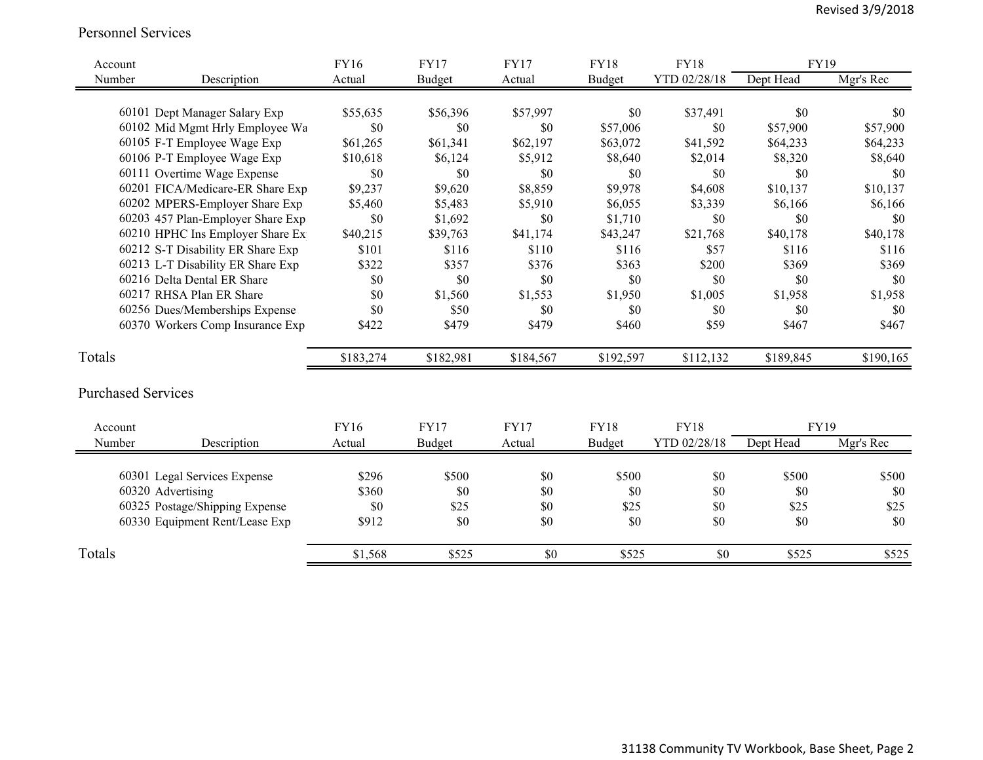#### Personnel Services

| Account                   |                                   | <b>FY16</b> | <b>FY17</b>   | <b>FY17</b> | <b>FY18</b> | <b>FY18</b>  | <b>FY19</b> |           |
|---------------------------|-----------------------------------|-------------|---------------|-------------|-------------|--------------|-------------|-----------|
| Number                    | Description                       | Actual      | <b>Budget</b> | Actual      | Budget      | YTD 02/28/18 | Dept Head   | Mgr's Rec |
|                           |                                   |             |               |             |             |              |             |           |
|                           | 60101 Dept Manager Salary Exp     | \$55,635    | \$56,396      | \$57,997    | \$0         | \$37,491     | \$0         | \$0       |
|                           | 60102 Mid Mgmt Hrly Employee Wa   | \$0         | \$0           | \$0         | \$57,006    | \$0          | \$57,900    | \$57,900  |
|                           | 60105 F-T Employee Wage Exp       | \$61,265    | \$61,341      | \$62,197    | \$63,072    | \$41,592     | \$64,233    | \$64,233  |
|                           | 60106 P-T Employee Wage Exp       | \$10,618    | \$6,124       | \$5,912     | \$8,640     | \$2,014      | \$8,320     | \$8,640   |
|                           | 60111 Overtime Wage Expense       | \$0         | \$0           | \$0         | \$0         | \$0          | \$0         | \$0       |
|                           | 60201 FICA/Medicare-ER Share Exp  | \$9,237     | \$9,620       | \$8,859     | \$9,978     | \$4,608      | \$10,137    | \$10,137  |
|                           | 60202 MPERS-Employer Share Exp    | \$5,460     | \$5,483       | \$5,910     | \$6,055     | \$3,339      | \$6,166     | \$6,166   |
|                           | 60203 457 Plan-Employer Share Exp | \$0         | \$1,692       | \$0         | \$1,710     | \$0          | \$0         | \$0       |
|                           | 60210 HPHC Ins Employer Share Ex  | \$40,215    | \$39,763      | \$41,174    | \$43,247    | \$21,768     | \$40,178    | \$40,178  |
|                           | 60212 S-T Disability ER Share Exp | \$101       | \$116         | \$110       | \$116       | \$57         | \$116       | \$116     |
|                           | 60213 L-T Disability ER Share Exp | \$322       | \$357         | \$376       | \$363       | \$200        | \$369       | \$369     |
|                           | 60216 Delta Dental ER Share       | \$0         | \$0           | \$0         | \$0         | \$0          | \$0         | \$0       |
|                           | 60217 RHSA Plan ER Share          | \$0         | \$1,560       | \$1,553     | \$1,950     | \$1,005      | \$1,958     | \$1,958   |
|                           | 60256 Dues/Memberships Expense    | \$0         | \$50          | \$0         | \$0         | \$0          | \$0         | \$0       |
|                           | 60370 Workers Comp Insurance Exp  | \$422       | \$479         | \$479       | \$460       | \$59         | \$467       | \$467     |
|                           |                                   |             |               |             |             |              |             |           |
| Totals                    |                                   | \$183,274   | \$182,981     | \$184,567   | \$192,597   | \$112,132    | \$189,845   | \$190,165 |
| <b>Purchased Services</b> |                                   |             |               |             |             |              |             |           |
| Account                   |                                   | <b>FY16</b> | <b>FY17</b>   | <b>FY17</b> | <b>FY18</b> | <b>FY18</b>  | FY19        |           |
| Number                    | Description                       | Actual      | <b>Budget</b> | Actual      | Budget      | YTD 02/28/18 | Dept Head   | Mgr's Rec |
|                           |                                   |             |               |             |             |              |             |           |
|                           | 60301 Legal Services Expense      | \$296       | \$500         | \$0         | \$500       | \$0          | \$500       | \$500     |
|                           | 60320 Advertising                 | \$360       | \$0           | \$0         | \$0         | \$0          | \$0         | \$0       |
|                           | 60325 Postage/Shipping Expense    | \$0         | \$25          | \$0         | \$25        | \$0          | \$25        | \$25      |
|                           | 60330 Equipment Rent/Lease Exp    | \$912       | \$0           | \$0         | \$0         | \$0          | \$0         | \$0       |
| Totals                    |                                   | \$1,568     | \$525         | \$0         | \$525       | \$0          | \$525       | \$525     |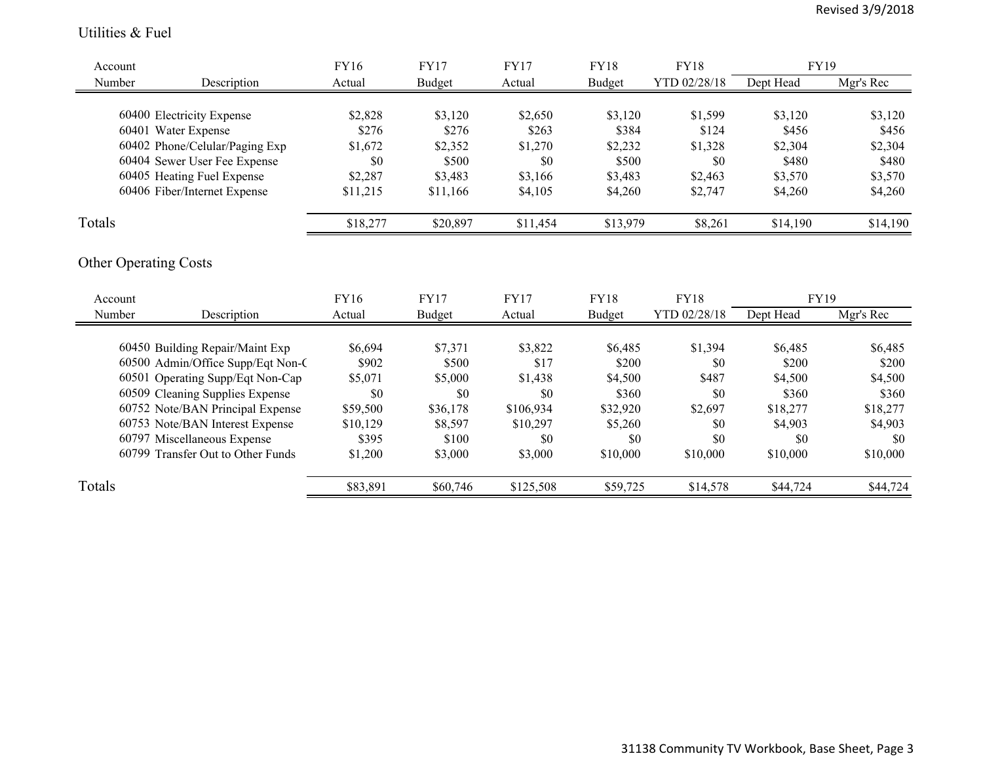#### Utilities & Fuel

| Account |                                   | FY16        | <b>FY17</b> | <b>FY17</b> | <b>FY18</b> | <b>FY18</b>  | FY19      |           |
|---------|-----------------------------------|-------------|-------------|-------------|-------------|--------------|-----------|-----------|
| Number  | Description                       | Actual      | Budget      | Actual      | Budget      | YTD 02/28/18 | Dept Head | Mgr's Rec |
|         |                                   |             |             |             |             |              |           |           |
|         | 60400 Electricity Expense         | \$2,828     | \$3,120     | \$2,650     | \$3,120     | \$1,599      | \$3,120   | \$3,120   |
|         | 60401 Water Expense               | \$276       | \$276       | \$263       | \$384       | \$124        | \$456     | \$456     |
|         | 60402 Phone/Celular/Paging Exp    | \$1,672     | \$2,352     | \$1,270     | \$2,232     | \$1,328      | \$2,304   | \$2,304   |
|         | 60404 Sewer User Fee Expense      | \$0         | \$500       | \$0         | \$500       | \$0          | \$480     | \$480     |
|         | 60405 Heating Fuel Expense        | \$2,287     | \$3,483     | \$3,166     | \$3,483     | \$2,463      | \$3,570   | \$3,570   |
|         | 60406 Fiber/Internet Expense      | \$11,215    | \$11,166    | \$4,105     | \$4,260     | \$2,747      | \$4,260   | \$4,260   |
| Totals  |                                   | \$18,277    | \$20,897    | \$11,454    | \$13,979    | \$8,261      | \$14,190  | \$14,190  |
| Account | <b>Other Operating Costs</b>      | <b>FY16</b> | <b>FY17</b> | <b>FY17</b> | <b>FY18</b> | <b>FY18</b>  | FY19      |           |
| Number  | Description                       | Actual      | Budget      | Actual      | Budget      | YTD 02/28/18 | Dept Head | Mgr's Rec |
|         |                                   |             |             |             |             |              |           |           |
|         | 60450 Building Repair/Maint Exp   | \$6,694     | \$7,371     | \$3,822     | \$6,485     | \$1,394      | \$6,485   | \$6,485   |
|         | 60500 Admin/Office Supp/Eqt Non-C | \$902       | \$500       | \$17        | \$200       | \$0          | \$200     | \$200     |
|         | 60501 Operating Supp/Eqt Non-Cap  | \$5,071     | \$5,000     | \$1,438     | \$4,500     | \$487        | \$4,500   | \$4,500   |
|         | 60509 Cleaning Supplies Expense   | \$0         | \$0         | \$0         | \$360       | \$0          | \$360     | \$360     |
|         | 60752 Note/BAN Principal Expense  | \$59,500    | \$36,178    | \$106,934   | \$32,920    | \$2,697      | \$18,277  | \$18,277  |
|         | 60753 Note/BAN Interest Expense   | \$10,129    | \$8,597     | \$10,297    | \$5,260     | \$0          | \$4,903   | \$4,903   |
|         | 60797 Miscellaneous Expense       | \$395       | \$100       | \$0         | \$0         | \$0          | \$0       | \$0       |
|         | 60799 Transfer Out to Other Funds | \$1,200     | \$3,000     | \$3,000     | \$10,000    | \$10,000     | \$10,000  | \$10,000  |
| Totals  |                                   | \$83,891    | \$60,746    | \$125,508   | \$59,725    | \$14,578     | \$44,724  | \$44,724  |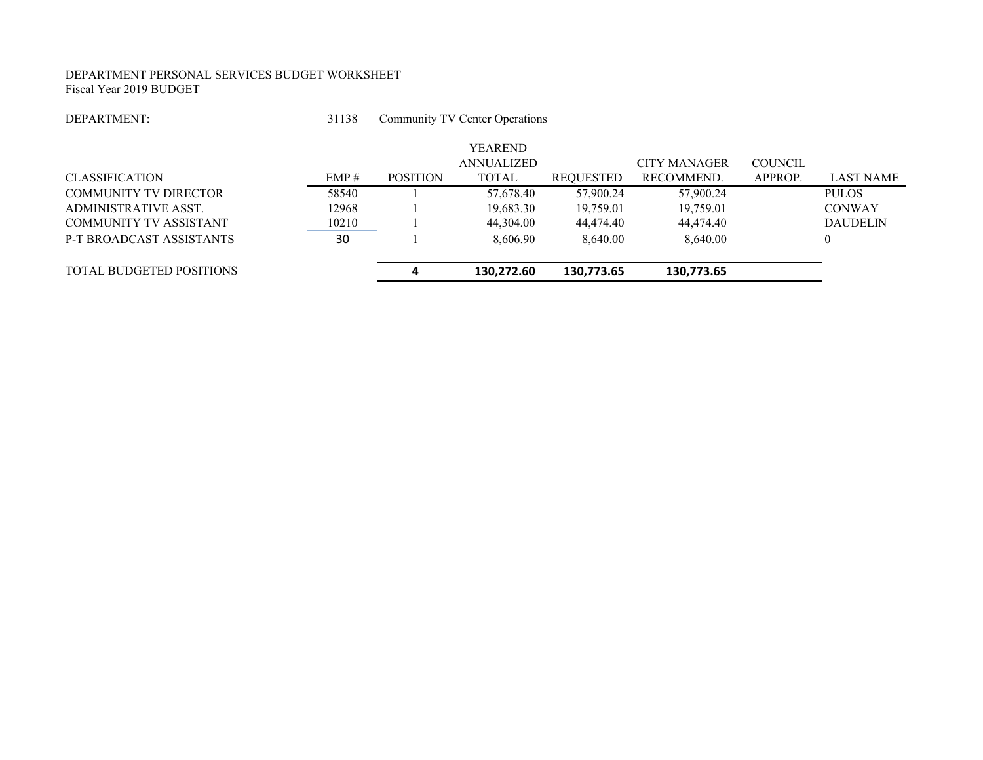#### DEPARTMENT PERSONAL SERVICES BUDGET WORKSHEET Fiscal Year 2019 BUDGET

#### DEPARTMENT:

 31138Community TV Center Operations

| <b>CLASSIFICATION</b>           | EMP#  | <b>POSITION</b> | <b>YEAREND</b><br><b>ANNUALIZED</b><br><b>TOTAL</b> | REQUESTED  | <b>CITY MANAGER</b><br>RECOMMEND. | <b>COUNCIL</b><br>APPROP. | <b>LAST NAME</b> |
|---------------------------------|-------|-----------------|-----------------------------------------------------|------------|-----------------------------------|---------------------------|------------------|
| <b>COMMUNITY TV DIRECTOR</b>    | 58540 |                 | 57,678.40                                           | 57,900.24  | 57,900.24                         |                           | <b>PULOS</b>     |
| ADMINISTRATIVE ASST.            | 12968 |                 | 19,683.30                                           | 19,759.01  | 19,759.01                         |                           | <b>CONWAY</b>    |
| COMMUNITY TV ASSISTANT          | 10210 |                 | 44,304.00                                           | 44,474.40  | 44,474.40                         |                           | <b>DAUDELIN</b>  |
| <b>P-T BROADCAST ASSISTANTS</b> | 30    |                 | 8,606.90                                            | 8,640.00   | 8,640.00                          |                           | $\theta$         |
| <b>TOTAL BUDGETED POSITIONS</b> |       |                 | 130,272.60                                          | 130,773.65 | 130,773.65                        |                           |                  |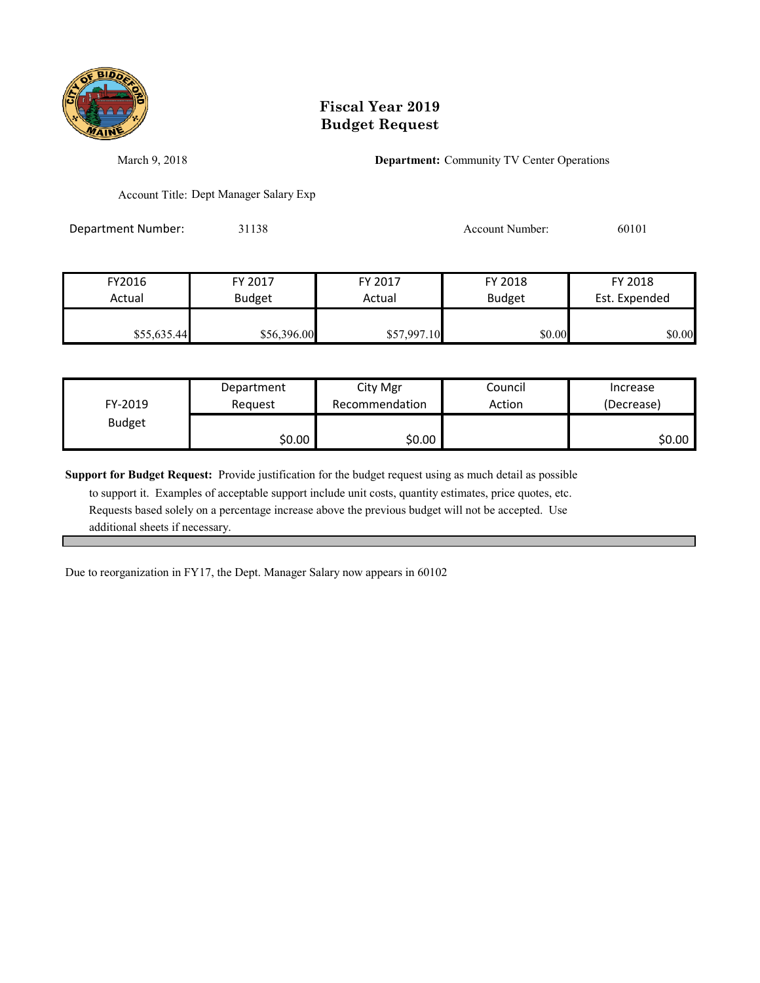

March 9, 2018 **Department:** Community TV Center Operations

Account Title: Dept Manager Salary Exp

Department Number: 31138 31138 Account Number: 60101

| FY2016      | FY 2017       | FY 2017     | FY 2018       | FY 2018       |
|-------------|---------------|-------------|---------------|---------------|
| Actual      | <b>Budget</b> | Actual      | <b>Budget</b> | Est. Expended |
|             |               |             |               |               |
| \$55,635.44 | \$56,396.00   | \$57,997.10 | \$0.00        | \$0.00        |

| FY-2019       | Department | City Mgr       | Council | Increase   |
|---------------|------------|----------------|---------|------------|
|               | Reauest    | Recommendation | Action  | (Decrease) |
| <b>Budget</b> | \$0.00     | \$0.00         |         | \$0.00     |

**Support for Budget Request:** Provide justification for the budget request using as much detail as possible

 to support it. Examples of acceptable support include unit costs, quantity estimates, price quotes, etc. Requests based solely on a percentage increase above the previous budget will not be accepted. Use additional sheets if necessary.

Due to reorganization in FY17, the Dept. Manager Salary now appears in 60102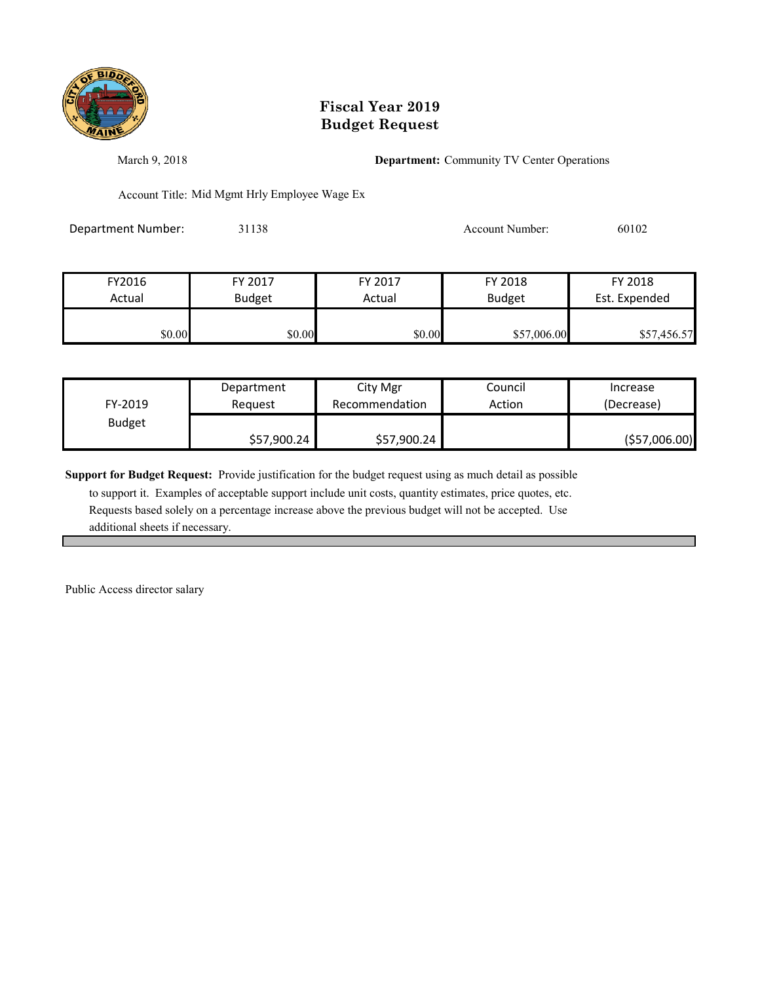

March 9, 2018 **Department:** Community TV Center Operations

Account Title: Mid Mgmt Hrly Employee Wage Ex

Department Number: 31138 31138 Account Number: 60102

| FY2016 | FY 2017       | FY 2017 | FY 2018       | FY 2018       |
|--------|---------------|---------|---------------|---------------|
| Actual | <b>Budget</b> | Actual  | <b>Budget</b> | Est. Expended |
|        |               |         |               |               |
| \$0.00 | \$0.00        | \$0.00  | \$57,006.00   | \$57,456.57   |

| FY-2019       | Department  | City Mgr       | Council | Increase       |
|---------------|-------------|----------------|---------|----------------|
|               | Reauest     | Recommendation | Action  | (Decrease)     |
| <b>Budget</b> | \$57,900.24 | \$57,900.24    |         | ( \$57,006.00) |

**Support for Budget Request:** Provide justification for the budget request using as much detail as possible

 to support it. Examples of acceptable support include unit costs, quantity estimates, price quotes, etc. Requests based solely on a percentage increase above the previous budget will not be accepted. Use additional sheets if necessary.

Public Access director salary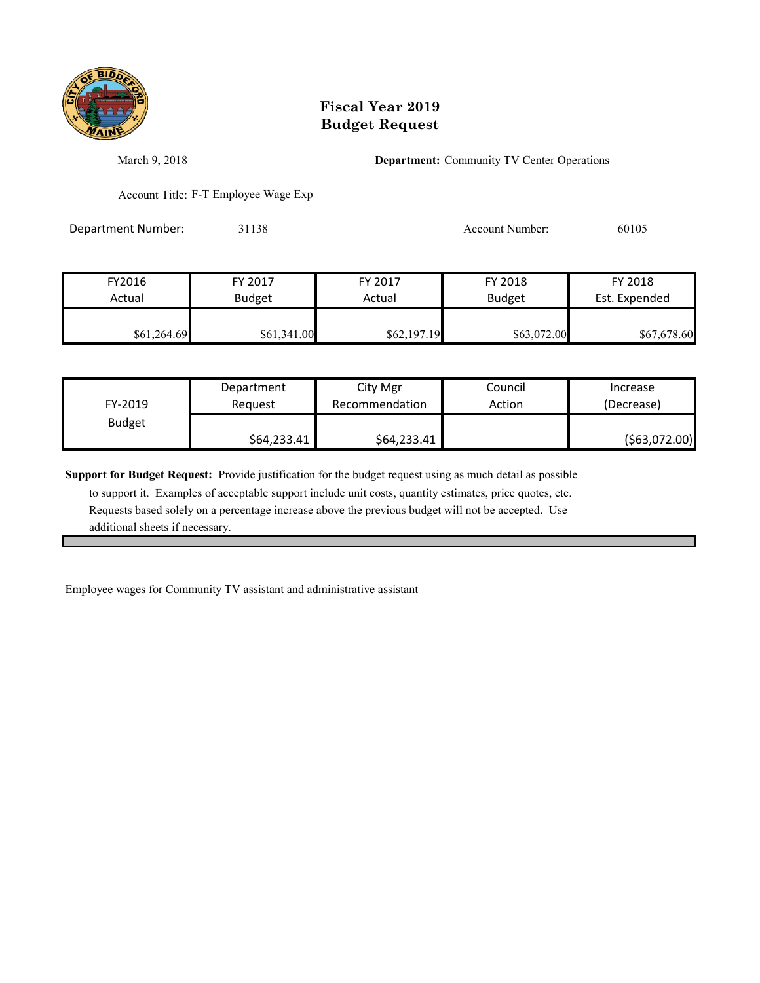

March 9, 2018 **Department:** Community TV Center Operations

Account Title: F-T Employee Wage Exp

Department Number: 31138 31138 Account Number: 60105

| FY2016      | FY 2017       | FY 2017     | FY 2018       | FY 2018       |
|-------------|---------------|-------------|---------------|---------------|
| Actual      | <b>Budget</b> | Actual      | <b>Budget</b> | Est. Expended |
|             |               |             |               |               |
| \$61,264.69 | \$61,341.00   | \$62,197.19 | \$63,072.00   | \$67,678.60   |

| FY-2019       | Department  | City Mgr       | Council | Increase       |
|---------------|-------------|----------------|---------|----------------|
|               | Reauest     | Recommendation | Action  | (Decrease)     |
| <b>Budget</b> | \$64,233.41 | \$64,233.41    |         | ( \$63,072.00) |

**Support for Budget Request:** Provide justification for the budget request using as much detail as possible

 to support it. Examples of acceptable support include unit costs, quantity estimates, price quotes, etc. Requests based solely on a percentage increase above the previous budget will not be accepted. Use additional sheets if necessary.

Employee wages for Community TV assistant and administrative assistant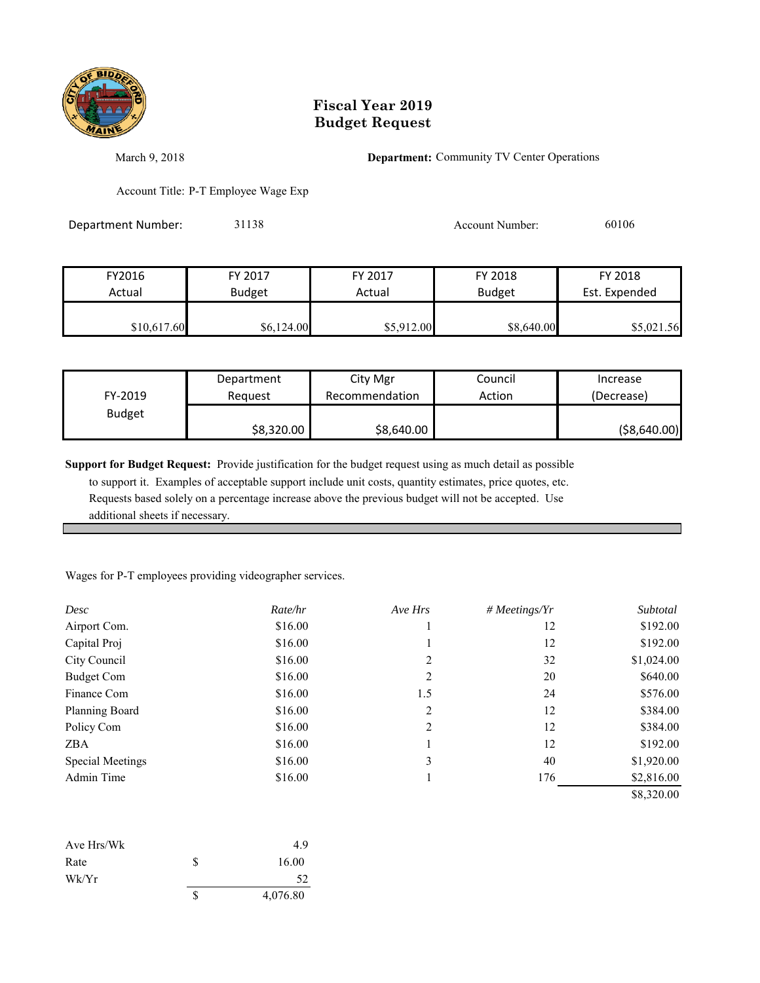

March 9, 2018 **Department:** Community TV Center Operations

Account Title: P-T Employee Wage Exp

| <b>Department Number:</b> | 31138         |            | Account Number: | 60106         |
|---------------------------|---------------|------------|-----------------|---------------|
|                           |               |            |                 |               |
| FY2016                    | FY 2017       | FY 2017    | FY 2018         | FY 2018       |
| Actual                    | <b>Budget</b> | Actual     | <b>Budget</b>   | Est. Expended |
| \$10,617.60               | \$6,124.00    | \$5,912.00 | \$8,640.00      | \$5,021.56    |

| FY-2019       | Department | City Mgr       | Council | Increase      |
|---------------|------------|----------------|---------|---------------|
|               | Reauest    | Recommendation | Action  | (Decrease)    |
| <b>Budget</b> | \$8,320.00 | \$8,640.00     |         | ( \$8,640.00) |

**Support for Budget Request:** Provide justification for the budget request using as much detail as possible to support it. Examples of acceptable support include unit costs, quantity estimates, price quotes, etc. Requests based solely on a percentage increase above the previous budget will not be accepted. Use additional sheets if necessary.

Wages for P-T employees providing videographer services.

| Desc              | Rate/hr | Ave Hrs | #Meetings/Yr | Subtotal   |
|-------------------|---------|---------|--------------|------------|
| Airport Com.      | \$16.00 |         | 12           | \$192.00   |
| Capital Proj      | \$16.00 |         | 12           | \$192.00   |
| City Council      | \$16.00 | 2       | 32           | \$1,024.00 |
| <b>Budget Com</b> | \$16.00 | 2       | 20           | \$640.00   |
| Finance Com       | \$16.00 | 1.5     | 24           | \$576.00   |
| Planning Board    | \$16.00 | 2       | 12           | \$384.00   |
| Policy Com        | \$16.00 | 2       | 12           | \$384.00   |
| <b>ZBA</b>        | \$16.00 |         | 12           | \$192.00   |
| Special Meetings  | \$16.00 | 3       | 40           | \$1,920.00 |
| Admin Time        | \$16.00 |         | 176          | \$2,816.00 |
|                   |         |         |              | \$8,320.00 |

| Ave Hrs/Wk |   | 4.9      |
|------------|---|----------|
| Rate       | S | 16.00    |
| Wk/Yr      |   | 52       |
|            | S | 4,076.80 |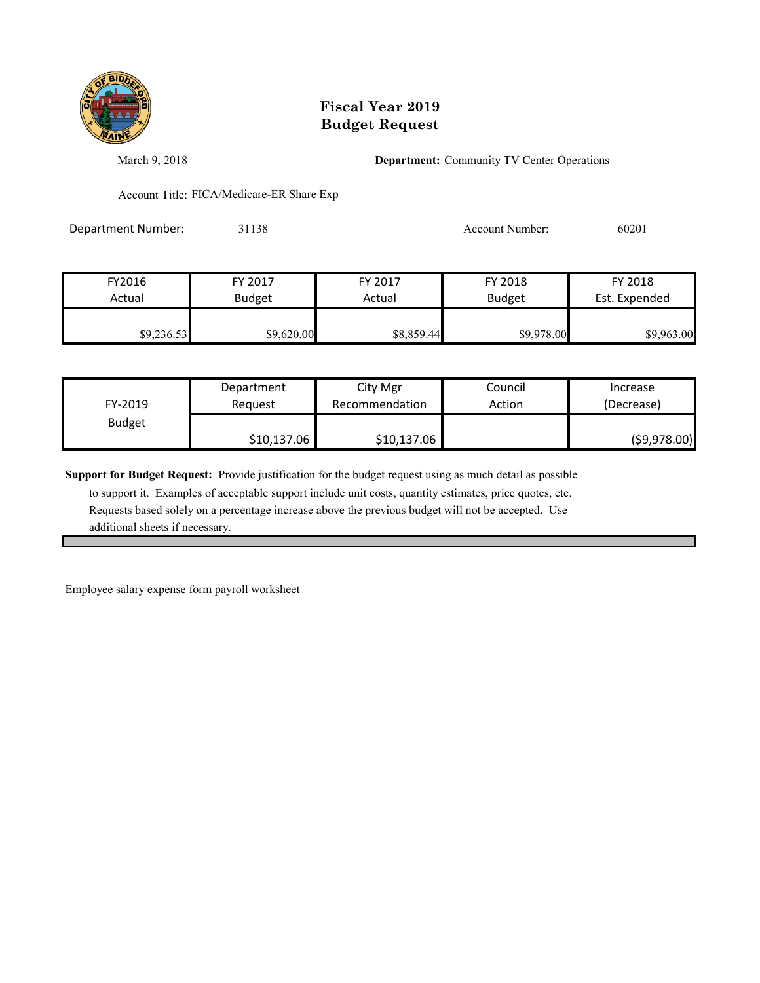

March 9, 2018 **Department:** Community TV Center Operations

Account Title: FICA/Medicare-ER Share Exp

Department Number: 31138 31138 Account Number: 60201

| FY2016     | FY 2017       | FY 2017    | FY 2018       | FY 2018       |
|------------|---------------|------------|---------------|---------------|
| Actual     | <b>Budget</b> | Actual     | <b>Budget</b> | Est. Expended |
|            |               |            |               |               |
| \$9,236.53 | \$9,620.00    | \$8,859.44 | \$9,978.00    | \$9,963.00    |

| FY-2019       | Department  | City Mgr       | Council | Increase      |
|---------------|-------------|----------------|---------|---------------|
|               | Reauest     | Recommendation | Action  | (Decrease)    |
| <b>Budget</b> | \$10,137.06 | \$10,137.06    |         | ( \$9,978.00) |

**Support for Budget Request:** Provide justification for the budget request using as much detail as possible

 to support it. Examples of acceptable support include unit costs, quantity estimates, price quotes, etc. Requests based solely on a percentage increase above the previous budget will not be accepted. Use additional sheets if necessary.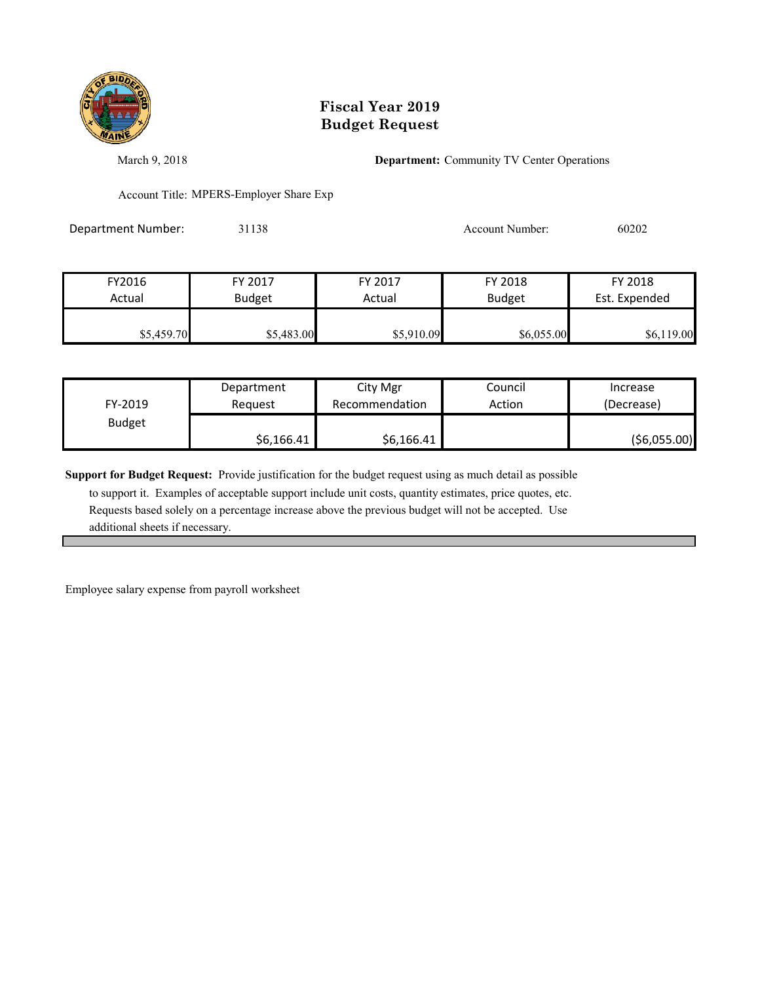

March 9, 2018 **Department:** Community TV Center Operations

Account Title: MPERS-Employer Share Exp

Department Number: 31138 31138 Account Number: 60202

| FY2016     | FY 2017       | FY 2017    | FY 2018       | FY 2018       |
|------------|---------------|------------|---------------|---------------|
| Actual     | <b>Budget</b> | Actual     | <b>Budget</b> | Est. Expended |
|            |               |            |               |               |
| \$5,459.70 | \$5,483.00    | \$5,910.09 | \$6,055.00    | \$6,119.00    |

| FY-2019       | Department | City Mgr       | Council | Increase      |
|---------------|------------|----------------|---------|---------------|
|               | Reauest    | Recommendation | Action  | (Decrease)    |
| <b>Budget</b> | \$6,166.41 | \$6,166.41     |         | ( \$6,055.00) |

**Support for Budget Request:** Provide justification for the budget request using as much detail as possible

 to support it. Examples of acceptable support include unit costs, quantity estimates, price quotes, etc. Requests based solely on a percentage increase above the previous budget will not be accepted. Use additional sheets if necessary.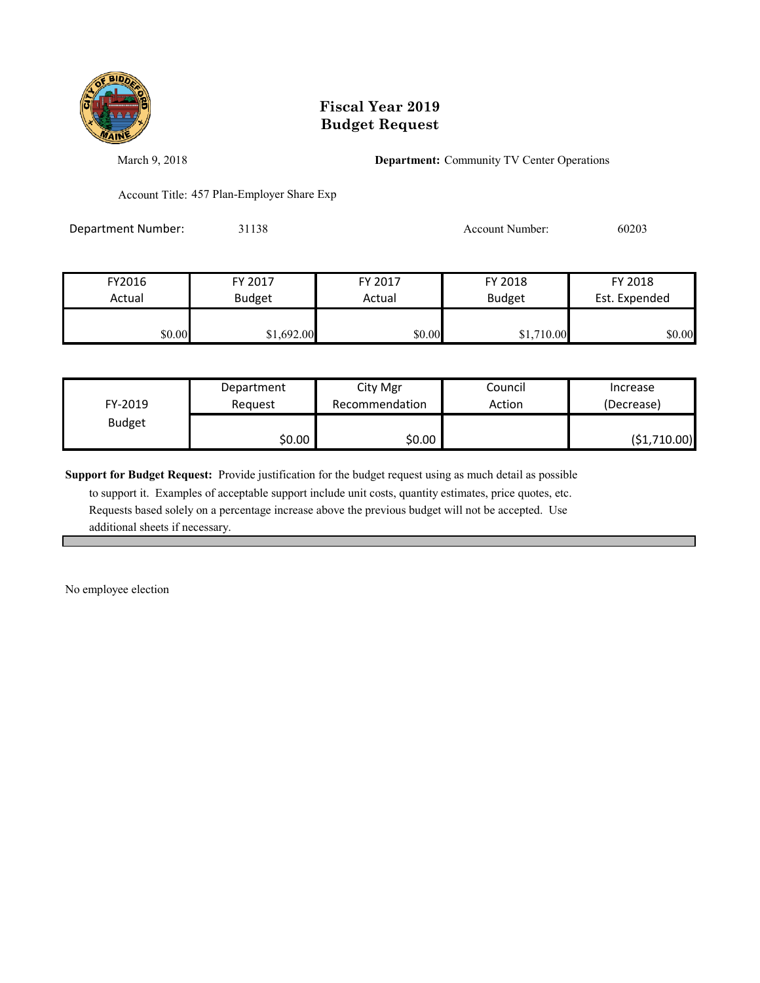

March 9, 2018 **Department:** Community TV Center Operations

Account Title: 457 Plan-Employer Share Exp

Department Number: 31138 31138 Account Number: 60203

| FY2016 | FY 2017       | FY 2017 | FY 2018       | FY 2018       |
|--------|---------------|---------|---------------|---------------|
| Actual | <b>Budget</b> | Actual  | <b>Budget</b> | Est. Expended |
| \$0.00 | \$1,692.00    | \$0.00  | \$1,710.00    | \$0.00        |

|               | Department | City Mgr       | Council | Increase      |
|---------------|------------|----------------|---------|---------------|
| FY-2019       | Reauest    | Recommendation | Action  | (Decrease)    |
| <b>Budget</b> |            |                |         |               |
|               | \$0.00     | \$0.00∣        |         | ( \$1,710.00) |

**Support for Budget Request:** Provide justification for the budget request using as much detail as possible

 to support it. Examples of acceptable support include unit costs, quantity estimates, price quotes, etc. Requests based solely on a percentage increase above the previous budget will not be accepted. Use additional sheets if necessary.

No employee election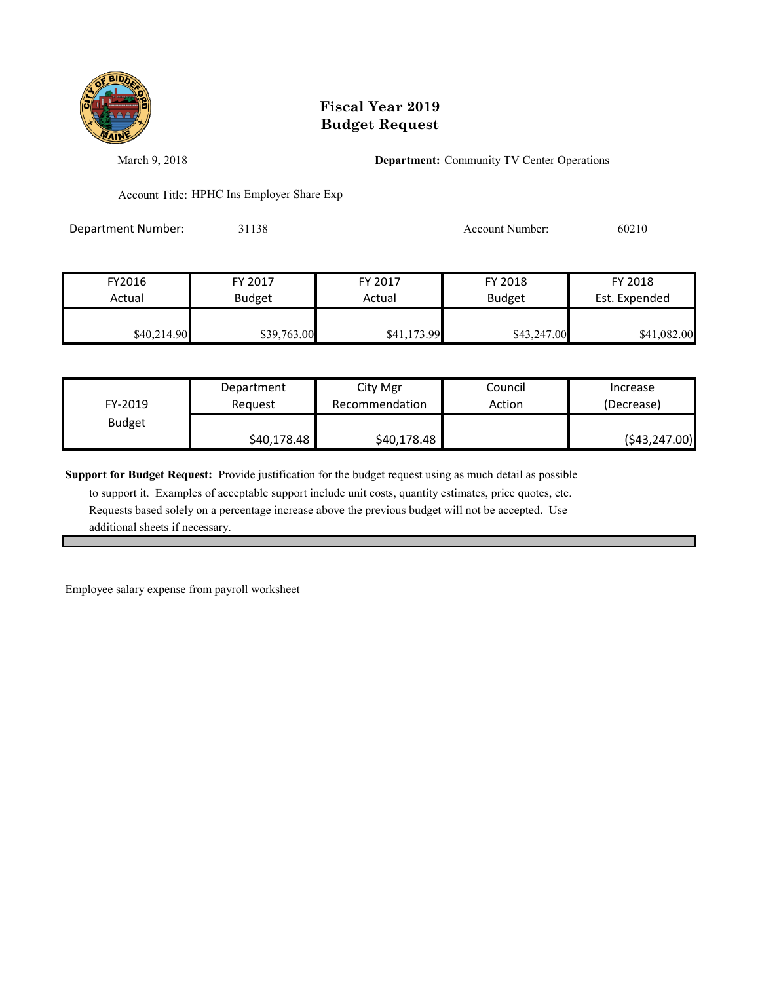

March 9, 2018 **Department:** Community TV Center Operations

Account Title: HPHC Ins Employer Share Exp

Department Number: 31138 31138 Account Number: 60210

| FY2016      | FY 2017       | FY 2017     | FY 2018       | FY 2018       |
|-------------|---------------|-------------|---------------|---------------|
| Actual      | <b>Budget</b> | Actual      | <b>Budget</b> | Est. Expended |
| \$40,214.90 | \$39,763.00   | \$41,173.99 | \$43,247.00   | \$41,082.00   |

| FY-2019       | Department<br>Reauest | City Mgr<br>Recommendation | Council<br>Action | Increase<br>(Decrease) |
|---------------|-----------------------|----------------------------|-------------------|------------------------|
| <b>Budget</b> |                       |                            |                   |                        |
|               | \$40,178.48           | \$40,178.48                |                   | ( \$43, 247.00)        |

**Support for Budget Request:** Provide justification for the budget request using as much detail as possible

 to support it. Examples of acceptable support include unit costs, quantity estimates, price quotes, etc. Requests based solely on a percentage increase above the previous budget will not be accepted. Use additional sheets if necessary.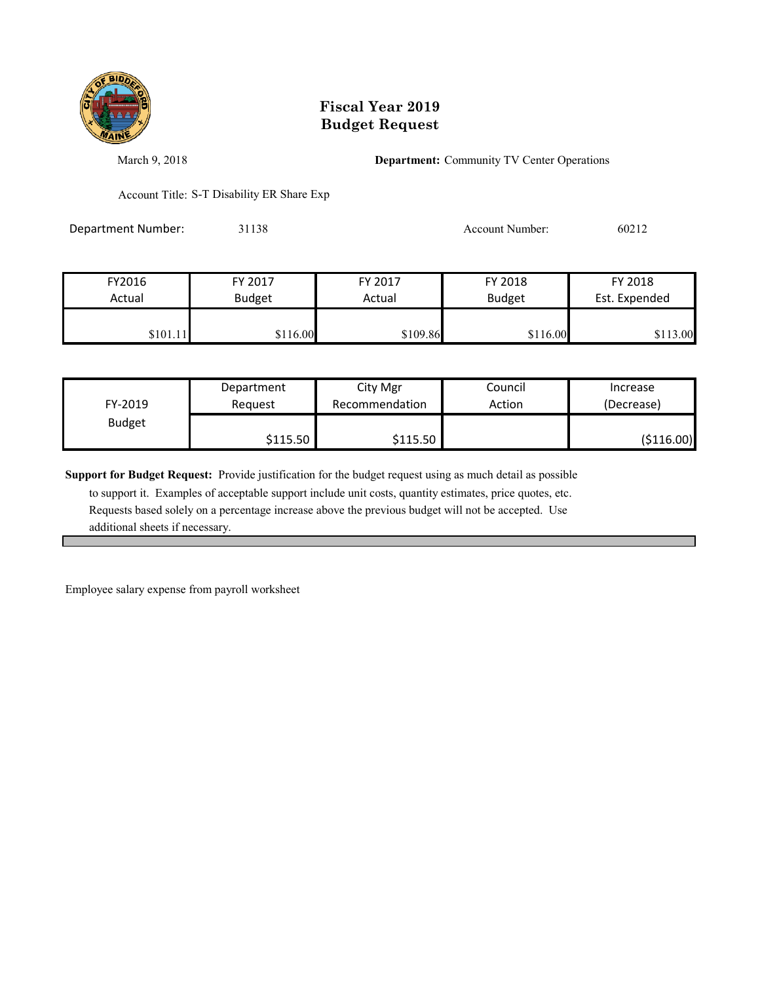

March 9, 2018 **Department:** Community TV Center Operations

Account Title: S-T Disability ER Share Exp

Department Number: 31138 31138 Account Number: 60212

| FY2016   | FY 2017       | FY 2017  | FY 2018       | FY 2018       |
|----------|---------------|----------|---------------|---------------|
| Actual   | <b>Budget</b> | Actual   | <b>Budget</b> | Est. Expended |
|          |               |          |               |               |
| \$101.11 | \$116.00      | \$109.86 | \$116.00      | 13.00         |

| FY-2019       | Department | City Mgr       | Council | Increase    |
|---------------|------------|----------------|---------|-------------|
|               | Reauest    | Recommendation | Action  | (Decrease)  |
| <b>Budget</b> | \$115.50   | \$115.50       |         | ( \$116.00) |

**Support for Budget Request:** Provide justification for the budget request using as much detail as possible

 to support it. Examples of acceptable support include unit costs, quantity estimates, price quotes, etc. Requests based solely on a percentage increase above the previous budget will not be accepted. Use additional sheets if necessary.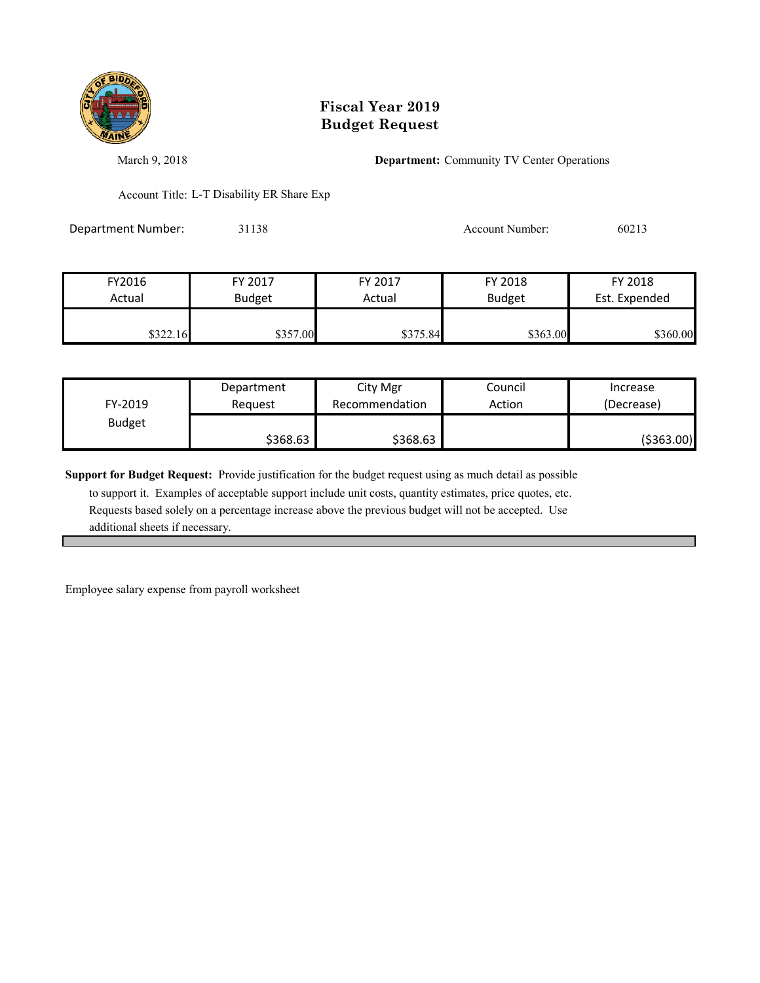

March 9, 2018 **Department:** Community TV Center Operations

Account Title: L-T Disability ER Share Exp

Department Number: 31138 31138 Account Number: 60213

| FY2016   | FY 2017       | FY 2017  | FY 2018       | FY 2018       |
|----------|---------------|----------|---------------|---------------|
| Actual   | <b>Budget</b> | Actual   | <b>Budget</b> | Est. Expended |
|          |               |          |               |               |
| \$322.16 | \$357.00      | \$375.84 | \$363.00      | \$360.00      |

| FY-2019       | Department | City Mgr       | Council | Increase    |
|---------------|------------|----------------|---------|-------------|
|               | Reauest    | Recommendation | Action  | (Decrease)  |
| <b>Budget</b> | \$368.63   | \$368.63       |         | ( \$363.00) |

**Support for Budget Request:** Provide justification for the budget request using as much detail as possible

 to support it. Examples of acceptable support include unit costs, quantity estimates, price quotes, etc. Requests based solely on a percentage increase above the previous budget will not be accepted. Use additional sheets if necessary.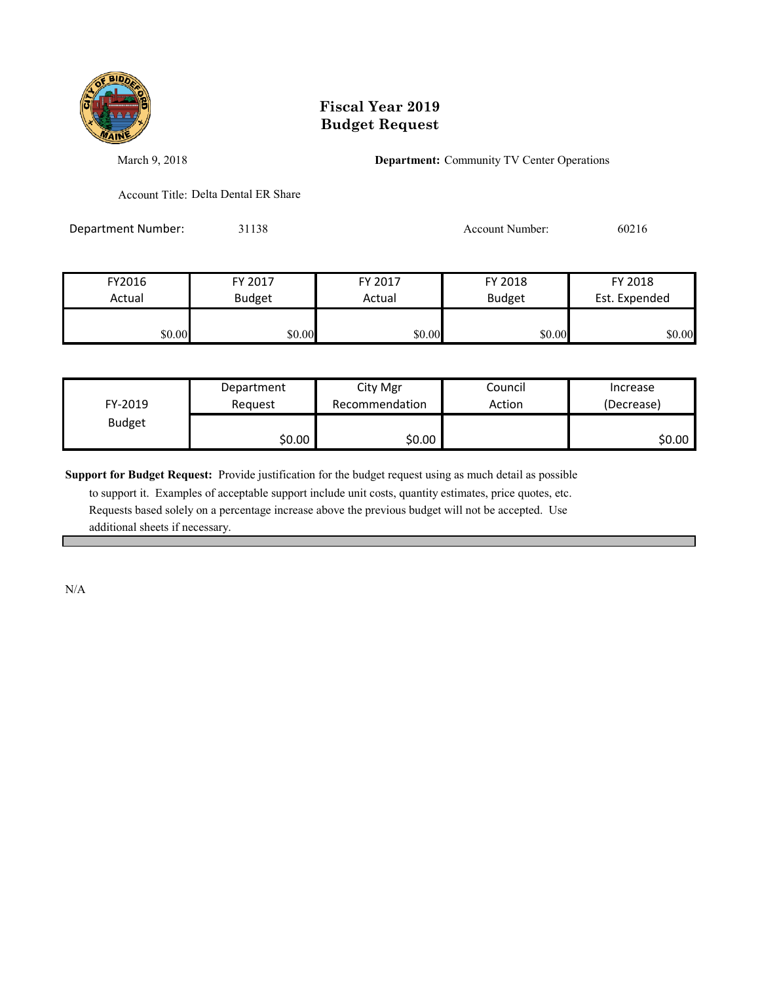

March 9, 2018 **Department:** Community TV Center Operations

Account Title: Delta Dental ER Share

Department Number: 31138 31138 Account Number: 60216

| FY2016 | FY 2017       | FY 2017 | FY 2018       | FY 2018       |
|--------|---------------|---------|---------------|---------------|
| Actual | <b>Budget</b> | Actual  | <b>Budget</b> | Est. Expended |
| \$0.00 | \$0.00        | \$0.00  | \$0.00        | \$0.00        |

|               | Department | City Mgr       | Council | Increase   |
|---------------|------------|----------------|---------|------------|
| FY-2019       | Reauest    | Recommendation | Action  | (Decrease) |
| <b>Budget</b> |            |                |         |            |
|               | \$0.00     | \$0.00         |         | \$0.00     |

**Support for Budget Request:** Provide justification for the budget request using as much detail as possible

 to support it. Examples of acceptable support include unit costs, quantity estimates, price quotes, etc. Requests based solely on a percentage increase above the previous budget will not be accepted. Use additional sheets if necessary.

N/A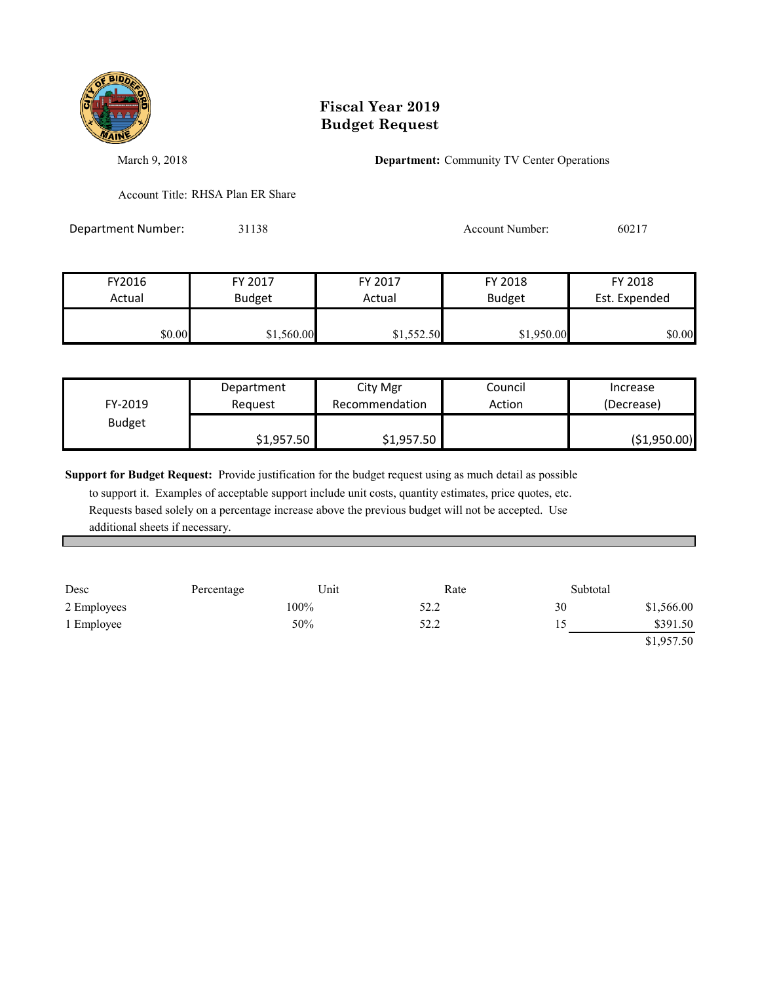

March 9, 2018 **Department:** Community TV Center Operations

Account Title: RHSA Plan ER Share

Department Number: 31138 31138 Account Number: 60217

| FY2016 | FY 2017       | FY 2017    | FY 2018       | FY 2018       |
|--------|---------------|------------|---------------|---------------|
| Actual | <b>Budget</b> | Actual     | <b>Budget</b> | Est. Expended |
|        |               |            |               |               |
| \$0.00 | \$1,560.00    | \$1,552.50 | \$1,950.00    | \$0.00        |

| FY-2019       | Department | City Mgr       | Council | Increase      |
|---------------|------------|----------------|---------|---------------|
|               | Reauest    | Recommendation | Action  | (Decrease)    |
| <b>Budget</b> | \$1,957.50 | \$1,957.50     |         | ( \$1,950.00) |

**Support for Budget Request:** Provide justification for the budget request using as much detail as possible

| Desc        | Percentage | Unit | Rate | Subtotal |            |
|-------------|------------|------|------|----------|------------|
| 2 Employees |            | 100% | 52.2 | 30       | \$1,566.00 |
| 1 Employee  |            | 50%  | 52.2 |          | \$391.50   |
|             |            |      |      |          | \$1,957.50 |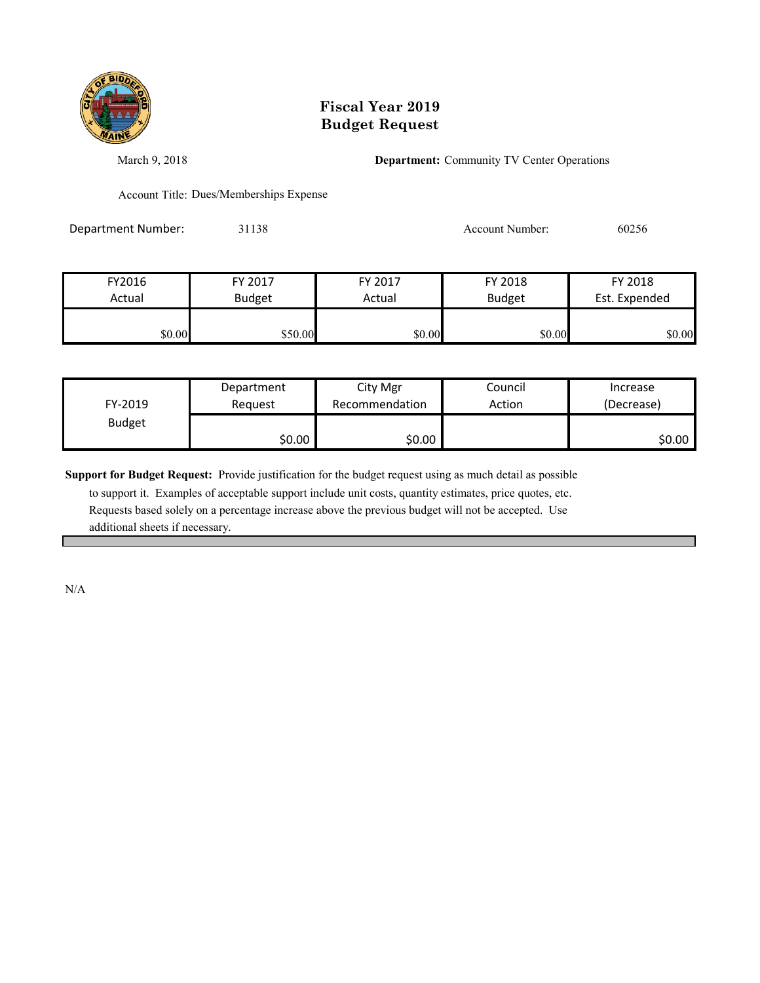

March 9, 2018 **Department:** Community TV Center Operations

Account Title: Dues/Memberships Expense

Department Number: 31138 31138 Account Number: 60256

| FY2016 | FY 2017       | FY 2017 | FY 2018       | FY 2018       |
|--------|---------------|---------|---------------|---------------|
| Actual | <b>Budget</b> | Actual  | <b>Budget</b> | Est. Expended |
|        |               |         |               |               |
| \$0.00 | \$50.00       | \$0.00  | \$0.00        | \$0.00        |

| FY-2019       | Department | City Mgr       | Council | Increase   |
|---------------|------------|----------------|---------|------------|
|               | Reauest    | Recommendation | Action  | (Decrease) |
| <b>Budget</b> | \$0.00     | \$0.00∣        |         | \$0.00∣    |

**Support for Budget Request:** Provide justification for the budget request using as much detail as possible

 to support it. Examples of acceptable support include unit costs, quantity estimates, price quotes, etc. Requests based solely on a percentage increase above the previous budget will not be accepted. Use additional sheets if necessary.

N/A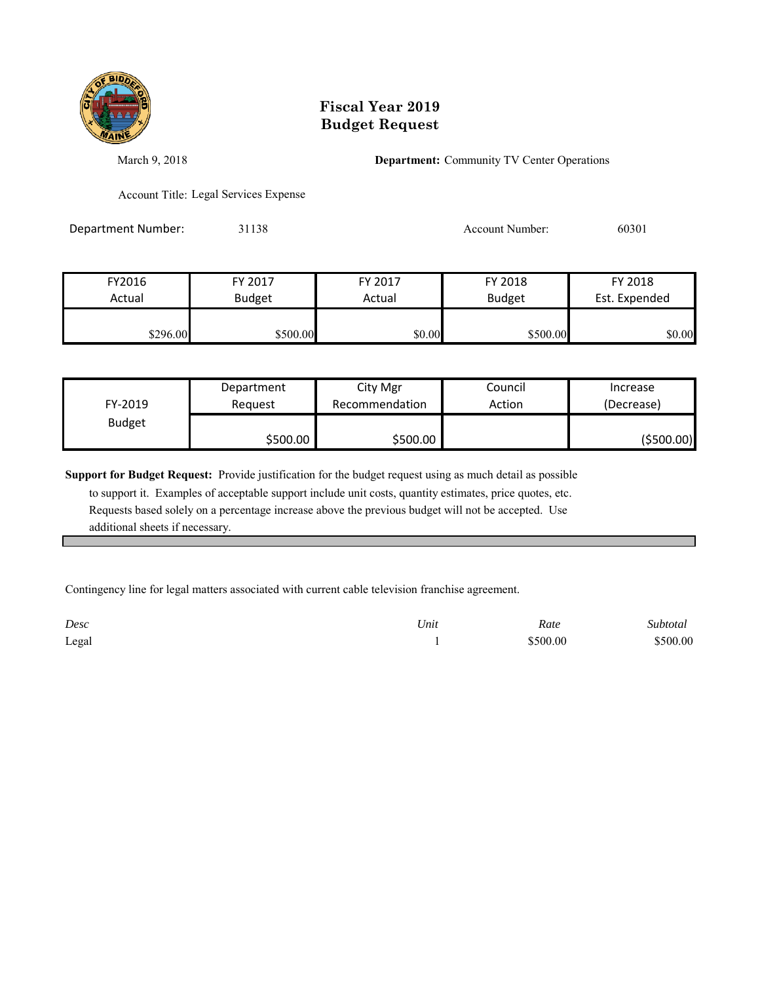

March 9, 2018 **Department:** Community TV Center Operations

Account Title: Legal Services Expense

Department Number: 31138 31138 Account Number: 60301

| FY2016   | FY 2017       | FY 2017 | FY 2018       | FY 2018       |
|----------|---------------|---------|---------------|---------------|
| Actual   | <b>Budget</b> | Actual  | <b>Budget</b> | Est. Expended |
|          |               |         |               |               |
| \$296.00 | \$500.00      | \$0.00  | \$500.00      | \$0.00        |

| FY-2019       | Department<br>Reauest | City Mgr<br>Recommendation | Council<br>Action | Increase<br>(Decrease) |
|---------------|-----------------------|----------------------------|-------------------|------------------------|
| <b>Budget</b> |                       |                            |                   |                        |
|               | \$500.00              | \$500.00                   |                   | (\$500.00)             |

**Support for Budget Request:** Provide justification for the budget request using as much detail as possible

 to support it. Examples of acceptable support include unit costs, quantity estimates, price quotes, etc. Requests based solely on a percentage increase above the previous budget will not be accepted. Use additional sheets if necessary.

Contingency line for legal matters associated with current cable television franchise agreement.

| Desc  | Unit | Rate     | Subtotal |
|-------|------|----------|----------|
| Legal |      | \$500.00 | \$500.00 |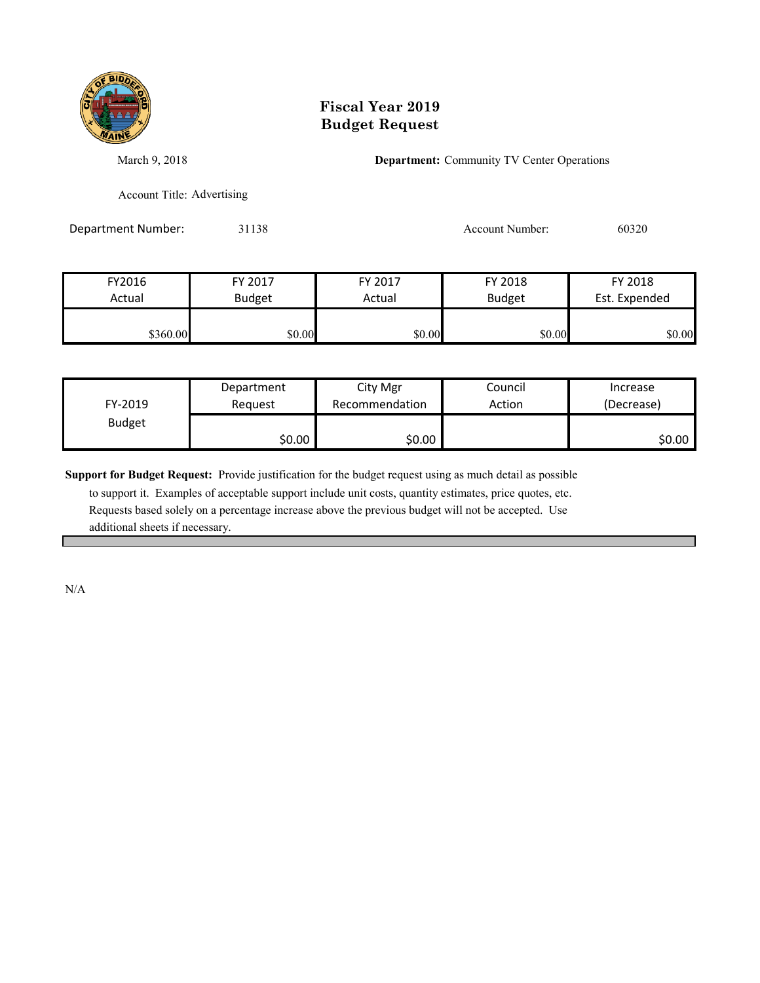

March 9, 2018 **Department:** Community TV Center Operations

Account Title: Advertising

Department Number: 31138 31138 Account Number: 60320

| FY2016<br>Actual | FY 2017       | FY 2017<br>Actual | FY 2018       | FY 2018<br>Est. Expended |
|------------------|---------------|-------------------|---------------|--------------------------|
|                  | <b>Budget</b> |                   | <b>Budget</b> |                          |
| \$360.00         | \$0.00        | \$0.00            | \$0.00        | \$0.00                   |

|               | Department | City Mgr       | Council | Increase   |
|---------------|------------|----------------|---------|------------|
| FY-2019       | Reauest    | Recommendation | Action  | (Decrease) |
| <b>Budget</b> |            |                |         |            |
|               | \$0.00     | \$0.00         |         | \$0.00     |

**Support for Budget Request:** Provide justification for the budget request using as much detail as possible

 to support it. Examples of acceptable support include unit costs, quantity estimates, price quotes, etc. Requests based solely on a percentage increase above the previous budget will not be accepted. Use additional sheets if necessary.

N/A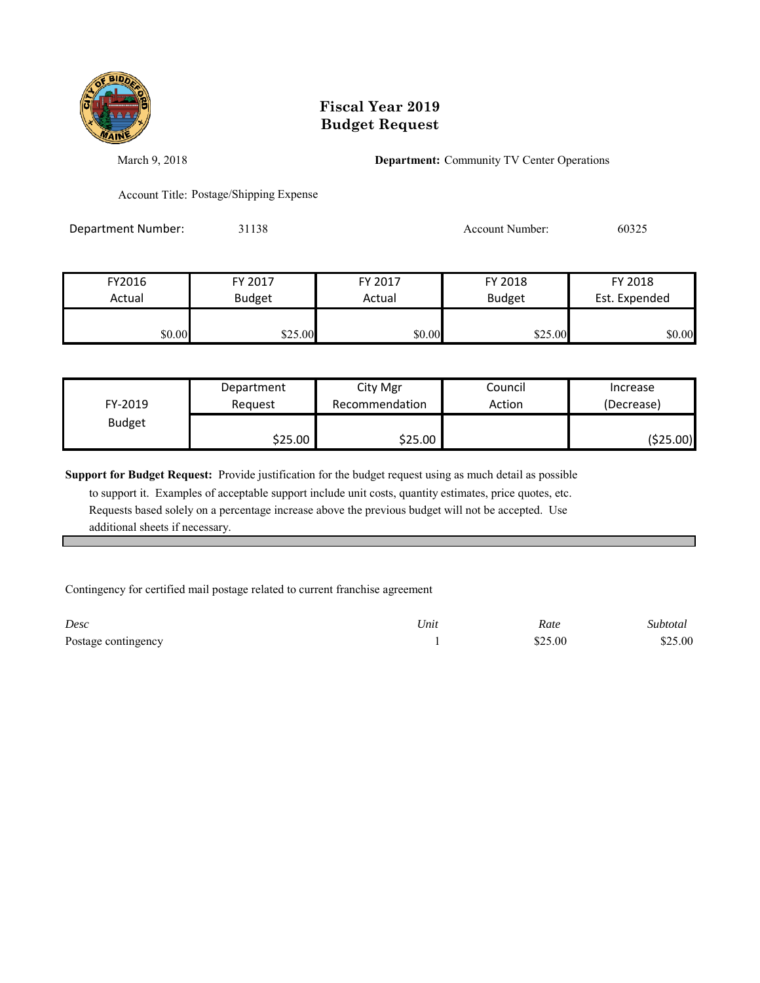

March 9, 2018 **Department:** Community TV Center Operations

Account Title: Postage/Shipping Expense

Department Number: 31138 31138 Account Number: 60325

| FY2016 | FY 2017       | FY 2017 | FY 2018       | FY 2018       |
|--------|---------------|---------|---------------|---------------|
| Actual | <b>Budget</b> | Actual  | <b>Budget</b> | Est. Expended |
|        |               |         |               |               |
| \$0.00 | \$25.00       | \$0.00  | \$25.00       | \$0.00        |

| FY-2019       | Department | City Mgr       | Council | Increase   |
|---------------|------------|----------------|---------|------------|
|               | Reauest    | Recommendation | Action  | (Decrease) |
| <b>Budget</b> | \$25.00    | \$25.00∣       |         | ( \$25.00) |

**Support for Budget Request:** Provide justification for the budget request using as much detail as possible

 to support it. Examples of acceptable support include unit costs, quantity estimates, price quotes, etc. Requests based solely on a percentage increase above the previous budget will not be accepted. Use additional sheets if necessary.

Contingency for certified mail postage related to current franchise agreement

| Desc                | Unit | Rate    | Subtotal |
|---------------------|------|---------|----------|
| Postage contingency |      | \$25.00 | \$25.00  |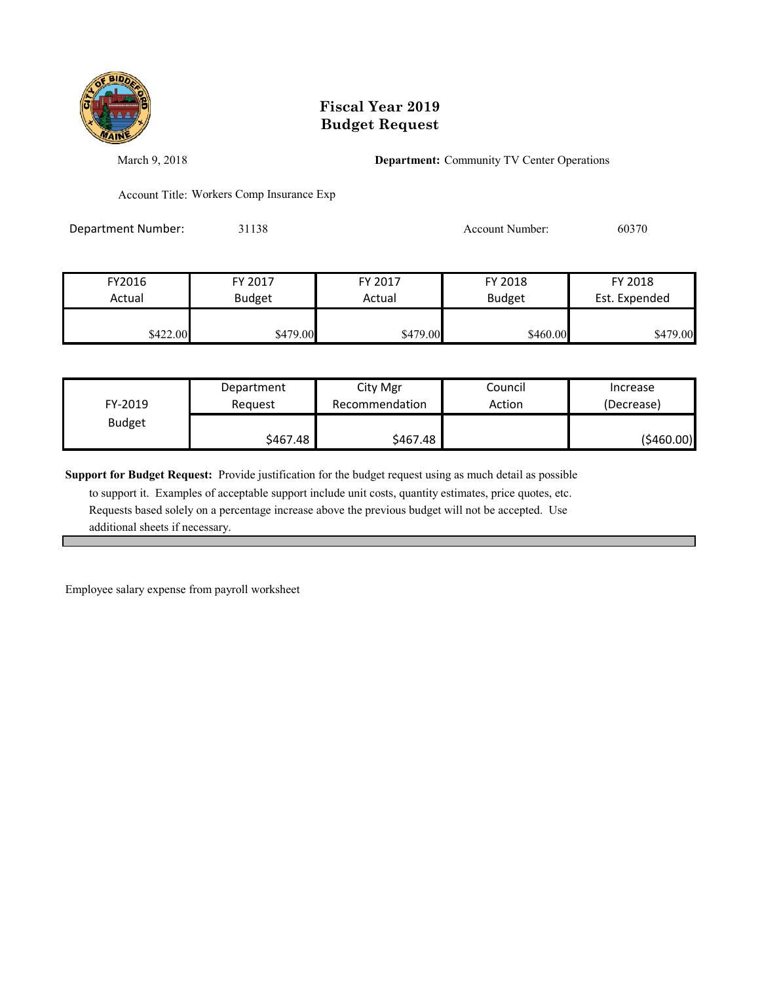

March 9, 2018 **Department:** Community TV Center Operations

Account Title: Workers Comp Insurance Exp

Department Number: 31138 31138 Account Number: 60370

| FY2016   | FY 2017       | FY 2017  | FY 2018       | FY 2018       |
|----------|---------------|----------|---------------|---------------|
| Actual   | <b>Budget</b> | Actual   | <b>Budget</b> | Est. Expended |
| \$422.00 | \$479.00      | \$479.00 | \$460.00      | \$479.00      |

| FY-2019       | Department<br>Reauest | City Mgr<br>Recommendation | Council<br>Action | Increase<br>(Decrease) |
|---------------|-----------------------|----------------------------|-------------------|------------------------|
| <b>Budget</b> |                       |                            |                   |                        |
|               | \$467.48              | \$467.48                   |                   | (\$460.00)             |

**Support for Budget Request:** Provide justification for the budget request using as much detail as possible

 to support it. Examples of acceptable support include unit costs, quantity estimates, price quotes, etc. Requests based solely on a percentage increase above the previous budget will not be accepted. Use additional sheets if necessary.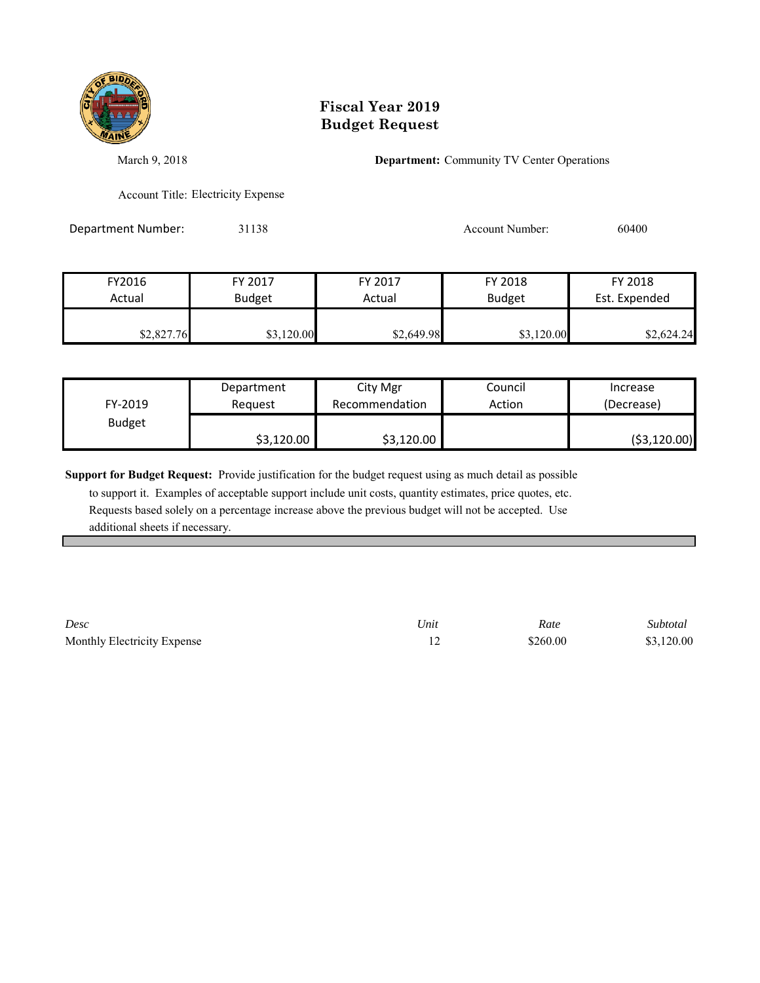

March 9, 2018 **Department:** Community TV Center Operations

Account Title: Electricity Expense

Department Number: 31138 31138 Account Number: 60400

| FY2016     | FY 2017       | FY 2017    | FY 2018       | FY 2018       |
|------------|---------------|------------|---------------|---------------|
| Actual     | <b>Budget</b> | Actual     | <b>Budget</b> | Est. Expended |
| \$2,827.76 | \$3,120.00    | \$2,649.98 | \$3,120.00    | \$2,624.24    |

| FY-2019       | Department | City Mgr       | Council | Increase      |
|---------------|------------|----------------|---------|---------------|
|               | Reauest    | Recommendation | Action  | (Decrease)    |
| <b>Budget</b> | \$3,120.00 | \$3,120.00     |         | ( \$3,120.00) |

**Support for Budget Request:** Provide justification for the budget request using as much detail as possible

 to support it. Examples of acceptable support include unit costs, quantity estimates, price quotes, etc. Requests based solely on a percentage increase above the previous budget will not be accepted. Use additional sheets if necessary.

*Desc Unit Rate Subtotal* Monthly Electricity Expense  $$3,120.00$   $$3,120.00$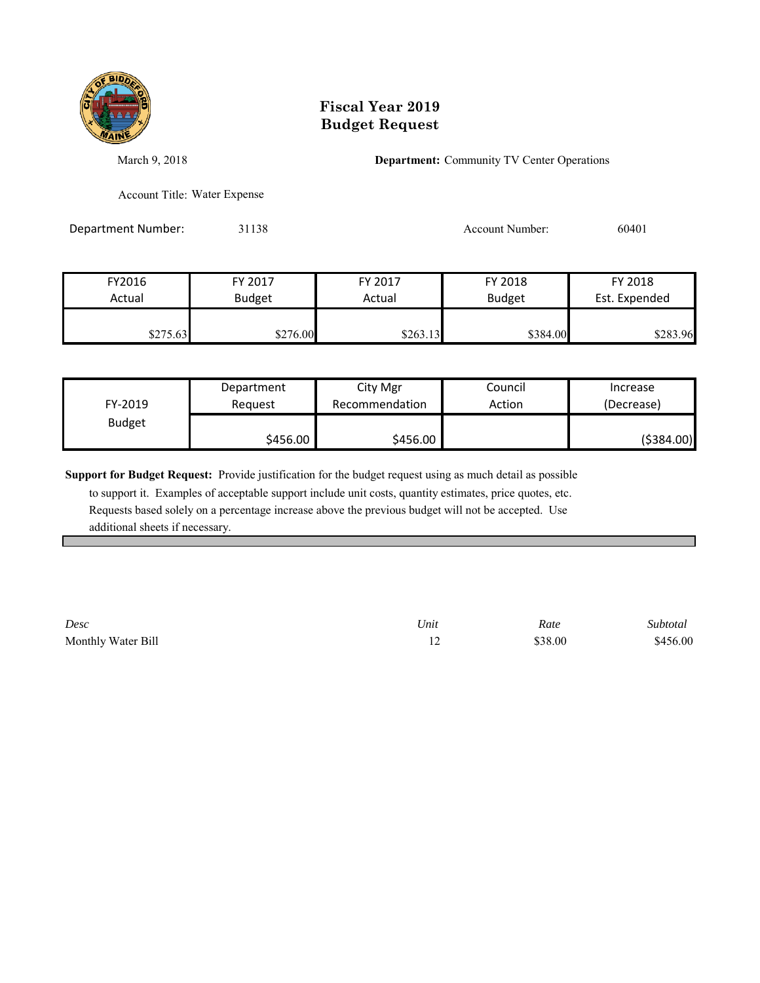

March 9, 2018 **Department:** Community TV Center Operations

Account Title: Water Expense

Department Number: 31138 31138 Account Number: 60401

| FY2016   | FY 2017       | FY 2017  | FY 2018       | FY 2018       |
|----------|---------------|----------|---------------|---------------|
| Actual   | <b>Budget</b> | Actual   | <b>Budget</b> | Est. Expended |
|          |               |          |               |               |
| \$275.63 | \$276.00      | \$263.13 | \$384.00      | \$283.96      |

| FY-2019       | Department | City Mgr       | Council | Increase    |
|---------------|------------|----------------|---------|-------------|
|               | Reauest    | Recommendation | Action  | (Decrease)  |
| <b>Budget</b> | \$456.00   | \$456.00       |         | ( \$384.00) |

**Support for Budget Request:** Provide justification for the budget request using as much detail as possible

 to support it. Examples of acceptable support include unit costs, quantity estimates, price quotes, etc. Requests based solely on a percentage increase above the previous budget will not be accepted. Use additional sheets if necessary.

*Desc Unit Rate Subtotal* Monthly Water Bill \$456.00 \$456.00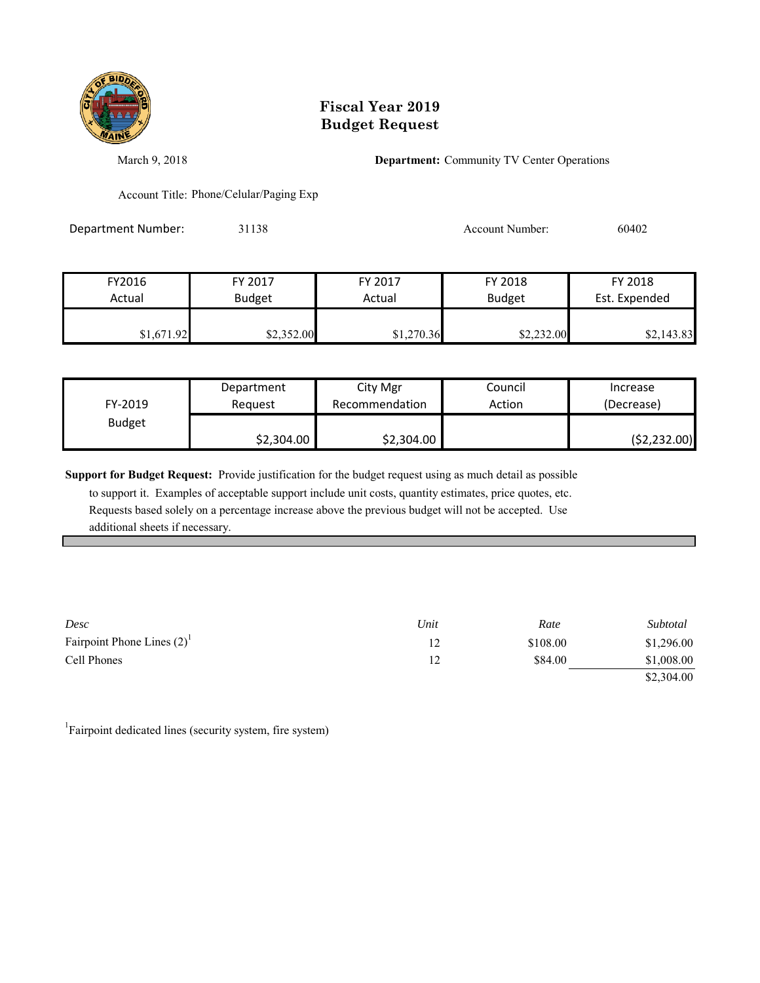

March 9, 2018 **Department:** Community TV Center Operations

Account Title: Phone/Celular/Paging Exp

Department Number: 31138 31138 Account Number: 60402

| FY2016     | FY 2017       | FY 2017    | FY 2018       | FY 2018       |
|------------|---------------|------------|---------------|---------------|
| Actual     | <b>Budget</b> | Actual     | <b>Budget</b> | Est. Expended |
| \$1,671.92 | \$2,352.00    | \$1,270.36 | \$2,232.00    | \$2,143.83    |

| FY-2019       | Department | City Mgr       | Council | Increase     |
|---------------|------------|----------------|---------|--------------|
|               | Reauest    | Recommendation | Action  | (Decrease)   |
| <b>Budget</b> | \$2,304.00 | \$2,304.00     |         | (52, 232.00) |

**Support for Budget Request:** Provide justification for the budget request using as much detail as possible

 to support it. Examples of acceptable support include unit costs, quantity estimates, price quotes, etc. Requests based solely on a percentage increase above the previous budget will not be accepted. Use additional sheets if necessary.

| Desc                            | Unit | Rate     | Subtotal   |
|---------------------------------|------|----------|------------|
| Fairpoint Phone Lines $(2)^{1}$ |      | \$108.00 | \$1,296.00 |
| Cell Phones                     |      | \$84.00  | \$1,008.00 |
|                                 |      |          | \$2,304.00 |

<sup>1</sup>Fairpoint dedicated lines (security system, fire system)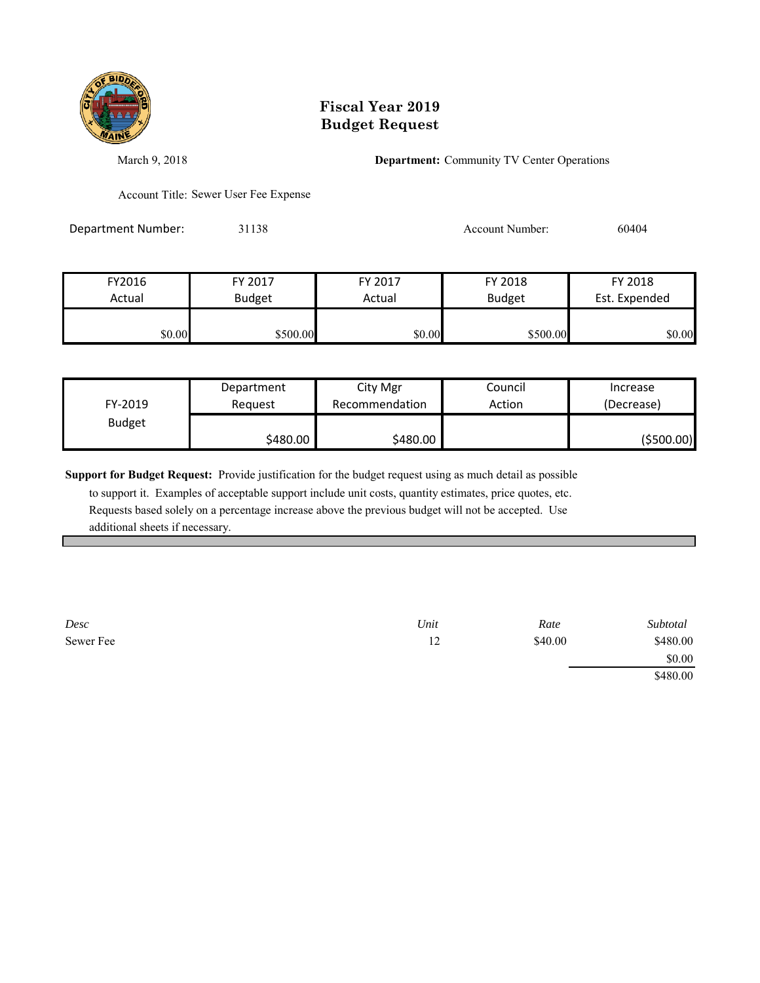

March 9, 2018 **Department:** Community TV Center Operations

Account Title: Sewer User Fee Expense

Department Number: 31138 31138 Account Number: 60404

| FY2016 | FY 2017       | FY 2017 | FY 2018       | FY 2018       |
|--------|---------------|---------|---------------|---------------|
| Actual | <b>Budget</b> | Actual  | <b>Budget</b> | Est. Expended |
|        |               |         |               |               |
| \$0.00 | \$500.00      | \$0.00  | \$500.00      | \$0.00        |

| FY-2019       | Department | City Mgr       | Council | Increase    |
|---------------|------------|----------------|---------|-------------|
|               | Reguest    | Recommendation | Action  | (Decrease)  |
| <b>Budget</b> | \$480.00   | \$480.00       |         | ( \$500.00) |

**Support for Budget Request:** Provide justification for the budget request using as much detail as possible

 to support it. Examples of acceptable support include unit costs, quantity estimates, price quotes, etc. Requests based solely on a percentage increase above the previous budget will not be accepted. Use additional sheets if necessary.

*Desc Unit Rate Subtotal* Sewer Fee 540.00 \$480.00 \$480.00 \$0.00 \$480.00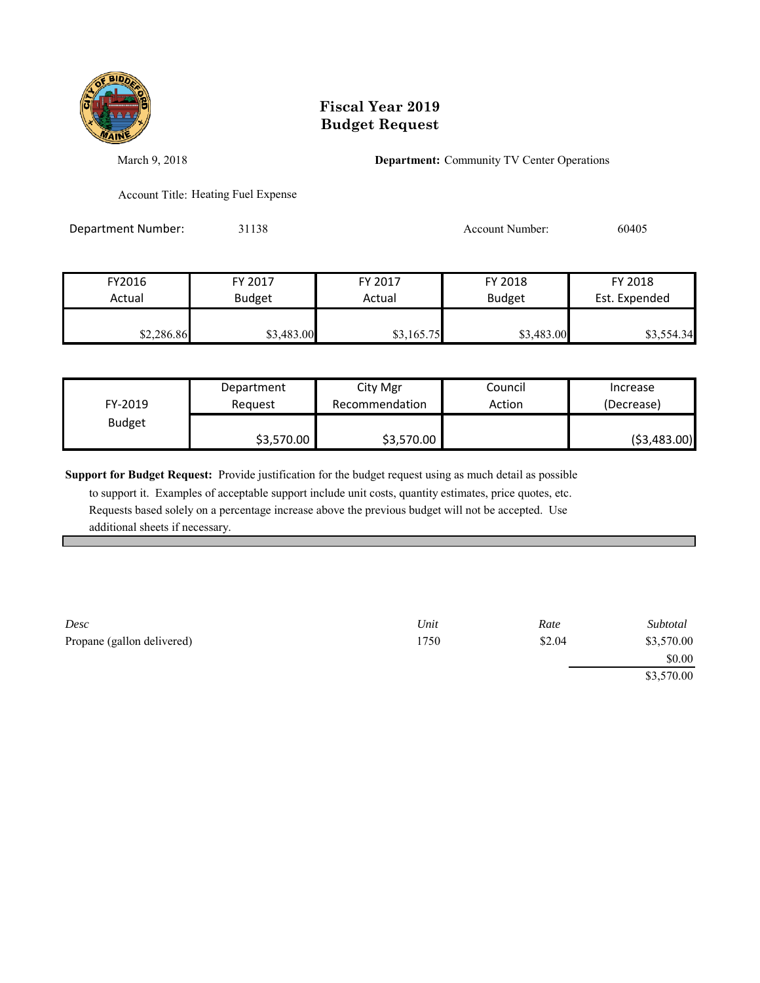

March 9, 2018 **Department:** Community TV Center Operations

Account Title: Heating Fuel Expense

Department Number: 31138 31138 Account Number: 60405

| FY2016     | FY 2017       | FY 2017    | FY 2018       | FY 2018       |
|------------|---------------|------------|---------------|---------------|
| Actual     | <b>Budget</b> | Actual     | <b>Budget</b> | Est. Expended |
| \$2,286.86 | \$3,483.00    | \$3,165.75 | \$3,483.00    | \$3,554.34    |

|               | Department | City Mgr       | Council | Increase      |
|---------------|------------|----------------|---------|---------------|
| FY-2019       | Reauest    | Recommendation | Action  | (Decrease)    |
| <b>Budget</b> |            |                |         |               |
|               | \$3,570.00 | \$3,570.00     |         | ( \$3,483.00) |

**Support for Budget Request:** Provide justification for the budget request using as much detail as possible

| Desc                       | Unit | Rate   | Subtotal   |
|----------------------------|------|--------|------------|
| Propane (gallon delivered) | 1750 | \$2.04 | \$3,570.00 |
|                            |      |        | \$0.00     |
|                            |      |        | \$3,570.00 |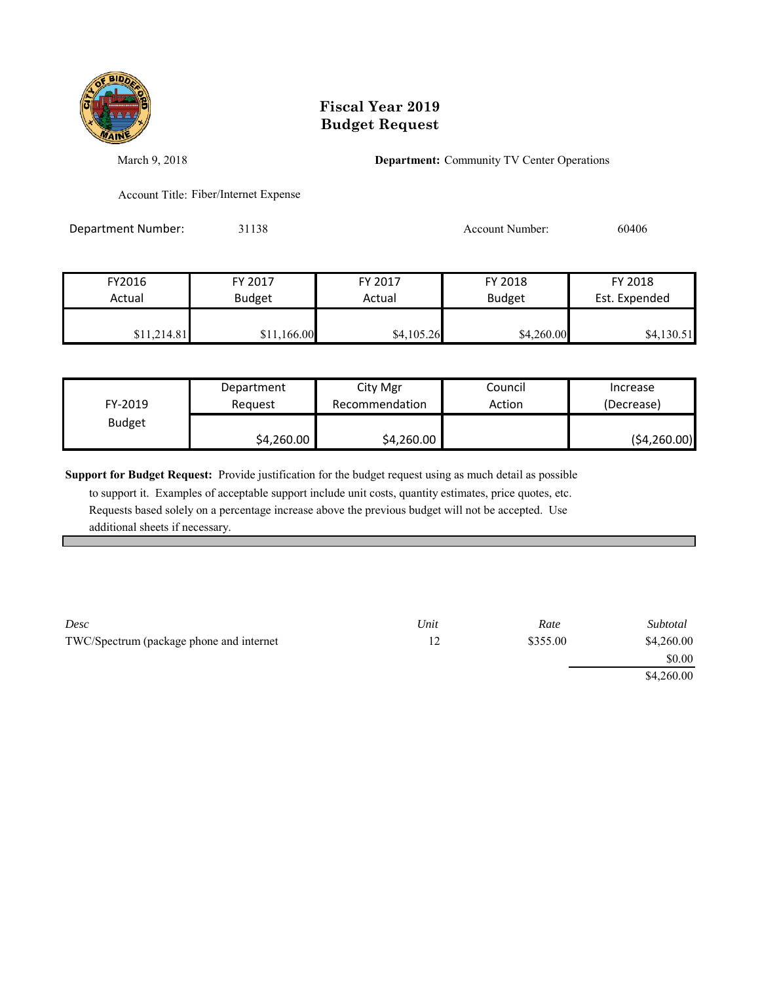

March 9, 2018 **Department:** Community TV Center Operations

Account Title: Fiber/Internet Expense

Department Number: 31138 31138 Account Number: 60406

| FY2016      | FY 2017       | FY 2017    | FY 2018    | FY 2018       |
|-------------|---------------|------------|------------|---------------|
| Actual      | <b>Budget</b> | Actual     | Budget     | Est. Expended |
| \$11,214.81 | \$11,166.00   | \$4,105.26 | \$4,260.00 | \$4,130.51    |

| FY-2019       | Department | City Mgr       | Council | Increase     |
|---------------|------------|----------------|---------|--------------|
|               | Reauest    | Recommendation | Action  | (Decrease)   |
| <b>Budget</b> | \$4,260.00 | \$4,260.00     |         | (54, 260.00) |

**Support for Budget Request:** Provide justification for the budget request using as much detail as possible

| Desc                                     | Unit | Rate     | Subtotal   |
|------------------------------------------|------|----------|------------|
| TWC/Spectrum (package phone and internet |      | \$355.00 | \$4,260.00 |
|                                          |      |          | \$0.00     |
|                                          |      |          | \$4,260.00 |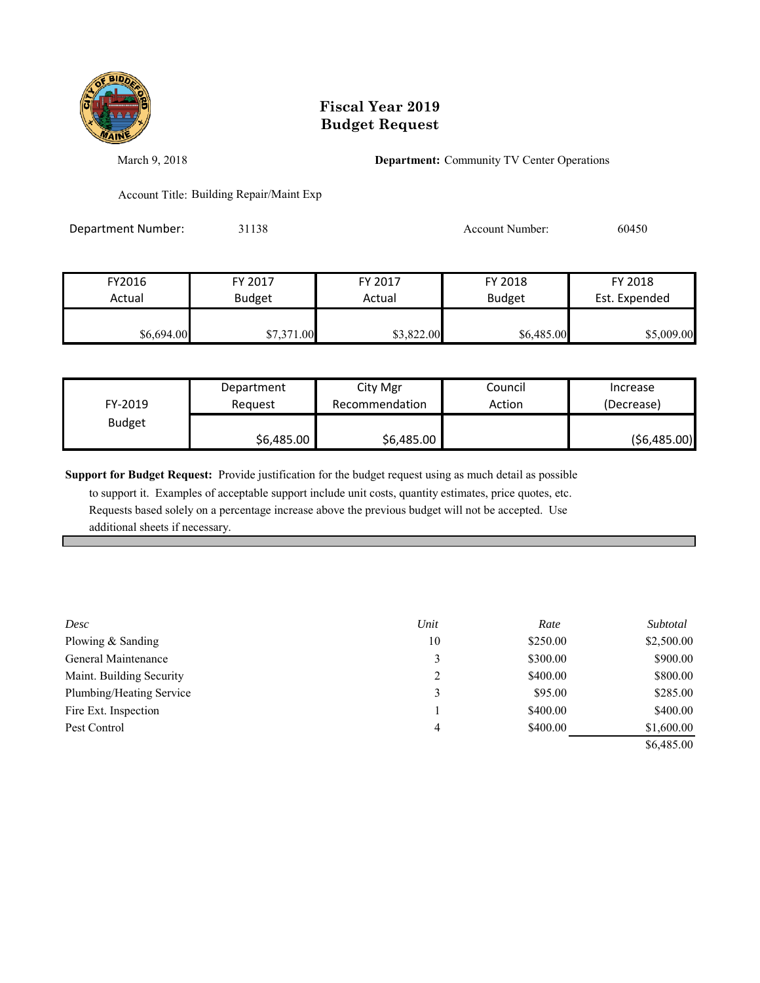

March 9, 2018 **Department:** Community TV Center Operations

Account Title: Building Repair/Maint Exp

Department Number: 31138 31138 Account Number: 60450

| FY2016     | FY 2017       | FY 2017    | FY 2018       | FY 2018       |
|------------|---------------|------------|---------------|---------------|
| Actual     | <b>Budget</b> | Actual     | <b>Budget</b> | Est. Expended |
| \$6,694.00 | \$7,371.00    | \$3,822.00 | \$6,485.00    | \$5,009.00    |

| FY-2019       | Department | City Mgr       | Council | Increase      |
|---------------|------------|----------------|---------|---------------|
|               | Reauest    | Recommendation | Action  | (Decrease)    |
| <b>Budget</b> | \$6,485.00 | \$6,485.00     |         | ( \$6,485.00) |

**Support for Budget Request:** Provide justification for the budget request using as much detail as possible

| Desc                     | Unit | Rate     | Subtotal   |
|--------------------------|------|----------|------------|
| Plowing & Sanding        | 10   | \$250.00 | \$2,500.00 |
| General Maintenance      | 3    | \$300.00 | \$900.00   |
| Maint. Building Security | 2    | \$400.00 | \$800.00   |
| Plumbing/Heating Service | 3    | \$95.00  | \$285.00   |
| Fire Ext. Inspection     |      | \$400.00 | \$400.00   |
| Pest Control             | 4    | \$400.00 | \$1,600.00 |
|                          |      |          | \$6,485.00 |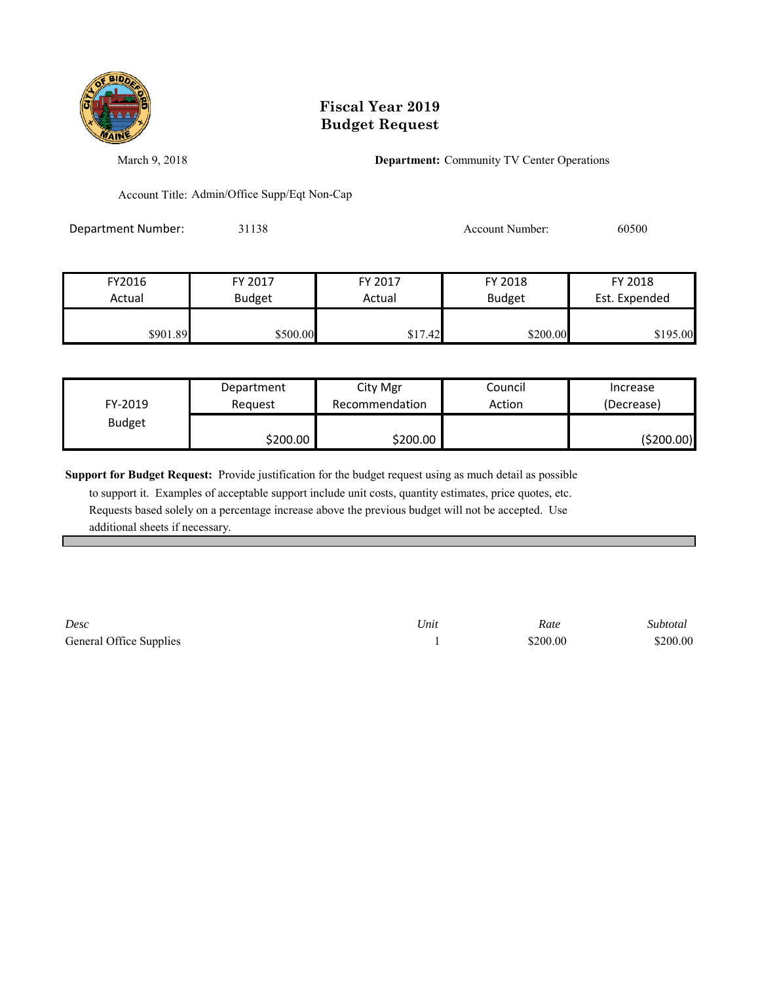

March 9, 2018 **Department:** Community TV Center Operations

Account Title: Admin/Office Supp/Eqt Non-Cap

Department Number: 31138 31138 Account Number: 60500

| FY2016   | FY 2017       | FY 2017 | FY 2018       | FY 2018       |
|----------|---------------|---------|---------------|---------------|
| Actual   | <b>Budget</b> | Actual  | <b>Budget</b> | Est. Expended |
|          |               |         |               |               |
| \$901.89 | \$500.00      | \$17.42 | \$200.00      | \$195.00      |

| FY-2019       | Department | City Mgr       | Council | Increase   |
|---------------|------------|----------------|---------|------------|
|               | Reguest    | Recommendation | Action  | (Decrease) |
| <b>Budget</b> | \$200.00   | \$200.00∣      |         | (\$200.00) |

**Support for Budget Request:** Provide justification for the budget request using as much detail as possible

 to support it. Examples of acceptable support include unit costs, quantity estimates, price quotes, etc. Requests based solely on a percentage increase above the previous budget will not be accepted. Use additional sheets if necessary.

*Desc Unit Rate Subtotal* General Office Supplies 1 \$200.00 \$200.00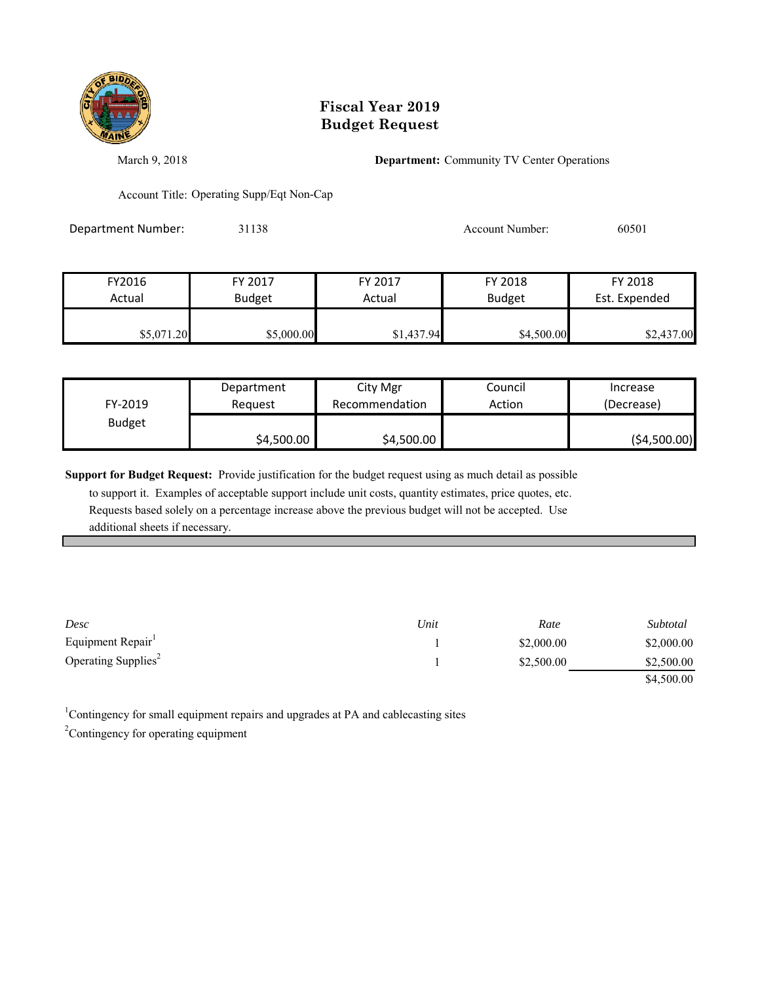

March 9, 2018 **Department:** Community TV Center Operations

Account Title: Operating Supp/Eqt Non-Cap

Department Number: 31138 31138 Account Number: 60501

| FY2016     | FY 2017       | FY 2017    | FY 2018       | FY 2018       |
|------------|---------------|------------|---------------|---------------|
| Actual     | <b>Budget</b> | Actual     | <b>Budget</b> | Est. Expended |
| \$5,071.20 | \$5,000.00    | \$1,437.94 | \$4,500.00    | \$2,437.00    |

| FY-2019       | Department | City Mgr       | Council | Increase      |
|---------------|------------|----------------|---------|---------------|
|               | Reauest    | Recommendation | Action  | (Decrease)    |
| <b>Budget</b> | \$4,500.00 | \$4,500.00     |         | ( \$4,500.00) |

**Support for Budget Request:** Provide justification for the budget request using as much detail as possible

 to support it. Examples of acceptable support include unit costs, quantity estimates, price quotes, etc. Requests based solely on a percentage increase above the previous budget will not be accepted. Use additional sheets if necessary.

| Desc                            | Unit | Rate       | Subtotal   |
|---------------------------------|------|------------|------------|
| Equipment Repair                |      | \$2,000.00 | \$2,000.00 |
| Operating Supplies <sup>2</sup> |      | \$2,500.00 | \$2,500.00 |
|                                 |      |            | \$4,500.00 |

<sup>1</sup>Contingency for small equipment repairs and upgrades at PA and cablecasting sites  $2^2$ Contingency for operating equipment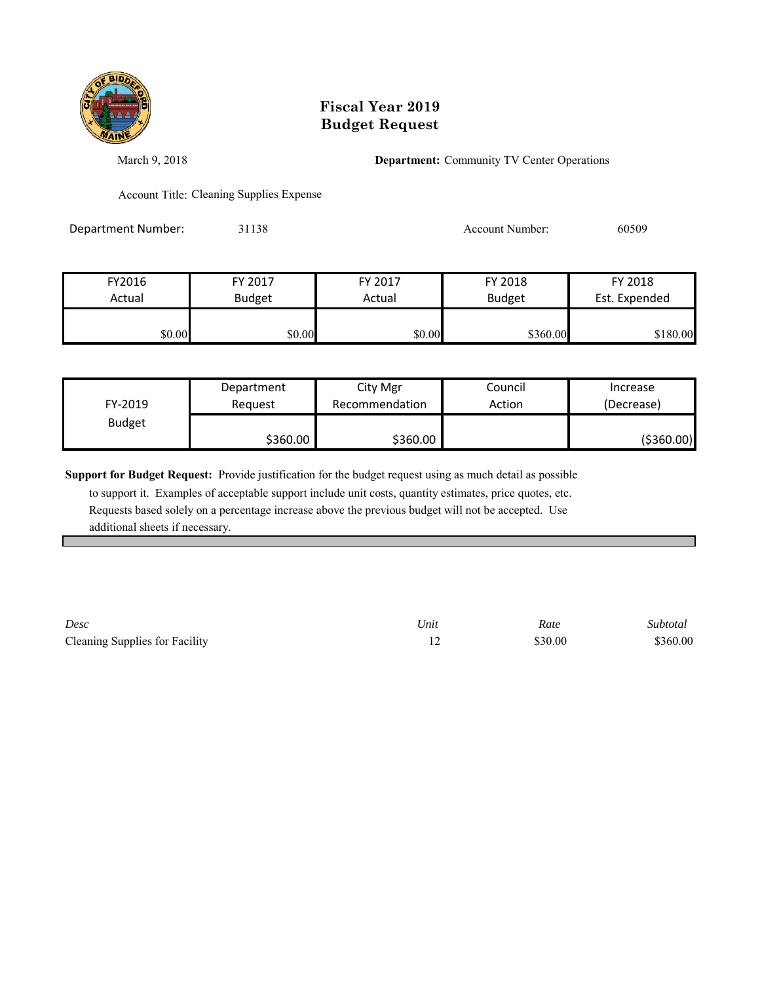

March 9, 2018 **Department:** Community TV Center Operations

Account Title: Cleaning Supplies Expense

Department Number: 31138 31138 Account Number: 60509

| FY2016 | FY 2017       | FY 2017 | FY 2018       | FY 2018       |
|--------|---------------|---------|---------------|---------------|
| Actual | <b>Budget</b> | Actual  | <b>Budget</b> | Est. Expended |
|        |               |         |               |               |
| \$0.00 | \$0.00        | \$0.00  | \$360.00      | \$180.00      |

| FY-2019       | Department | City Mgr       | Council | Increase   |
|---------------|------------|----------------|---------|------------|
|               | Reauest    | Recommendation | Action  | (Decrease) |
| <b>Budget</b> | \$360.00   | \$360.00       |         | (\$360.00) |

**Support for Budget Request:** Provide justification for the budget request using as much detail as possible

 to support it. Examples of acceptable support include unit costs, quantity estimates, price quotes, etc. Requests based solely on a percentage increase above the previous budget will not be accepted. Use additional sheets if necessary.

*Desc Unit Rate Subtotal* Cleaning Supplies for Facility 12 \$30.00 \$360.00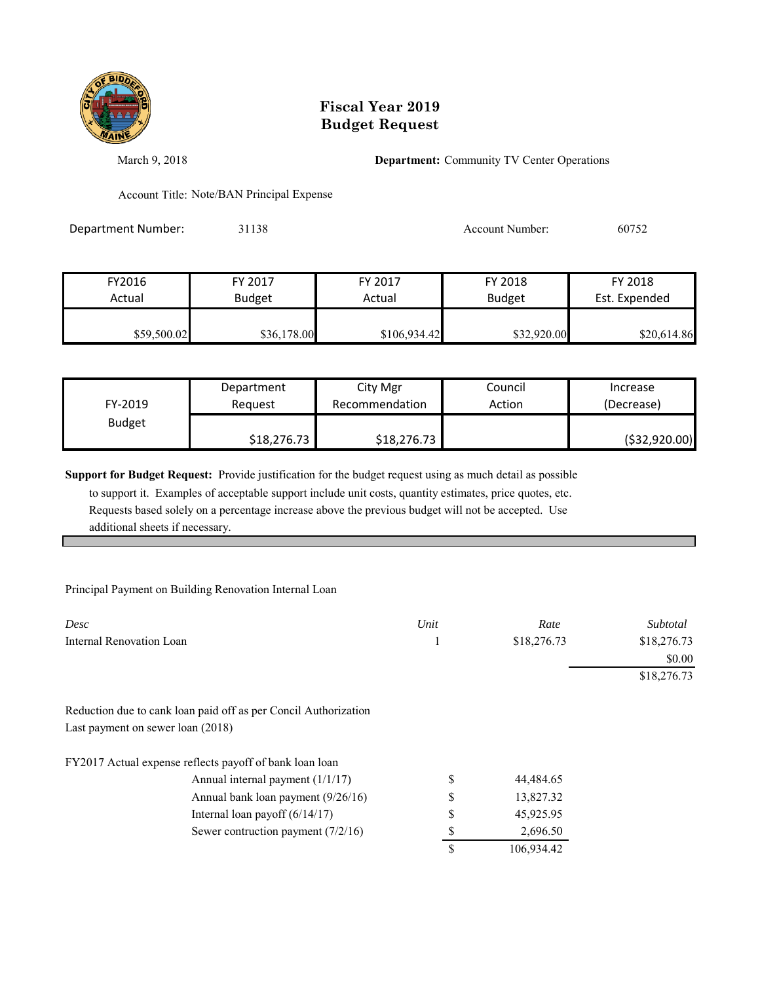

March 9, 2018 **Department:** Community TV Center Operations

Account Title: Note/BAN Principal Expense

Department Number: 31138 31138 Account Number: 60752

| FY2016      | FY 2017       | FY 2017      | FY 2018       | FY 2018       |
|-------------|---------------|--------------|---------------|---------------|
| Actual      | <b>Budget</b> | Actual       | <b>Budget</b> | Est. Expended |
| \$59,500.02 | \$36,178.00   | \$106,934.42 | \$32,920.00   | \$20,614.86   |

| FY-2019       | Department  | City Mgr       | Council | Increase       |
|---------------|-------------|----------------|---------|----------------|
|               | Reauest     | Recommendation | Action  | (Decrease)     |
| <b>Budget</b> | \$18,276.73 | \$18,276.73    |         | ( \$32,920.00) |

**Support for Budget Request:** Provide justification for the budget request using as much detail as possible

 to support it. Examples of acceptable support include unit costs, quantity estimates, price quotes, etc. Requests based solely on a percentage increase above the previous budget will not be accepted. Use additional sheets if necessary.

#### Principal Payment on Building Renovation Internal Loan

| Desc                                                            | Unit | Rate        | Subtotal    |
|-----------------------------------------------------------------|------|-------------|-------------|
| Internal Renovation Loan                                        |      | \$18,276.73 | \$18,276.73 |
|                                                                 |      |             | \$0.00      |
|                                                                 |      |             | \$18,276.73 |
| Reduction due to cank loan paid off as per Concil Authorization |      |             |             |
| Last payment on sewer loan (2018)                               |      |             |             |
| FY2017 Actual expense reflects payoff of bank loan loan         |      |             |             |
| Annual internal payment $(1/1/17)$                              | \$   | 44,484.65   |             |
| Annual bank loan payment (9/26/16)                              | \$   | 13,827.32   |             |
| Internal loan payoff $(6/14/17)$                                | \$   | 45,925.95   |             |
| Sewer contruction payment $(7/2/16)$                            | S    | 2,696.50    |             |
|                                                                 | S    | 106,934.42  |             |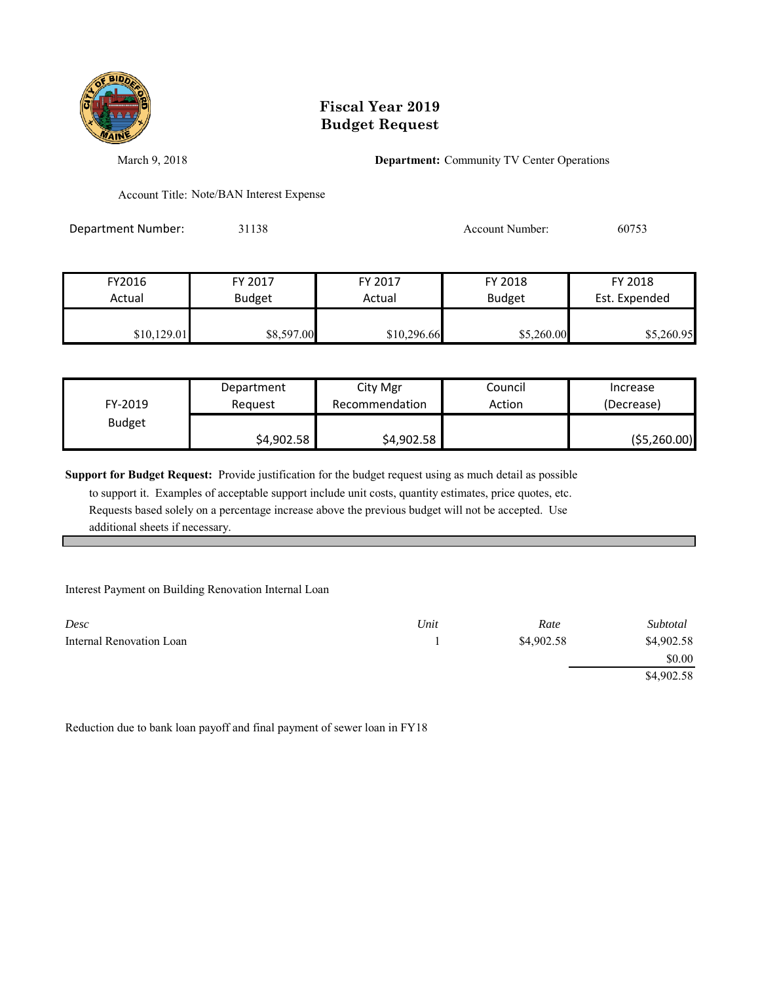

March 9, 2018 **Department:** Community TV Center Operations

Account Title: Note/BAN Interest Expense

Department Number: 31138 31138 Account Number: 60753

| FY2016      | FY 2017       | FY 2017     | FY 2018       | FY 2018       |
|-------------|---------------|-------------|---------------|---------------|
| Actual      | <b>Budget</b> | Actual      | <b>Budget</b> | Est. Expended |
|             |               |             |               |               |
| \$10,129.01 | \$8,597.00    | \$10,296.66 | \$5,260.00    | \$5,260.95    |

| FY-2019       | Department | City Mgr       | Council | Increase      |
|---------------|------------|----------------|---------|---------------|
|               | Reauest    | Recommendation | Action  | (Decrease)    |
| <b>Budget</b> | \$4,902.58 | \$4,902.58     |         | ( \$5,260.00) |

**Support for Budget Request:** Provide justification for the budget request using as much detail as possible

 to support it. Examples of acceptable support include unit costs, quantity estimates, price quotes, etc. Requests based solely on a percentage increase above the previous budget will not be accepted. Use additional sheets if necessary.

#### Interest Payment on Building Renovation Internal Loan

| Desc                     | Unit | Rate       | Subtotal   |
|--------------------------|------|------------|------------|
| Internal Renovation Loan |      | \$4,902.58 | \$4,902.58 |
|                          |      |            | \$0.00     |
|                          |      |            | \$4,902.58 |

Reduction due to bank loan payoff and final payment of sewer loan in FY18